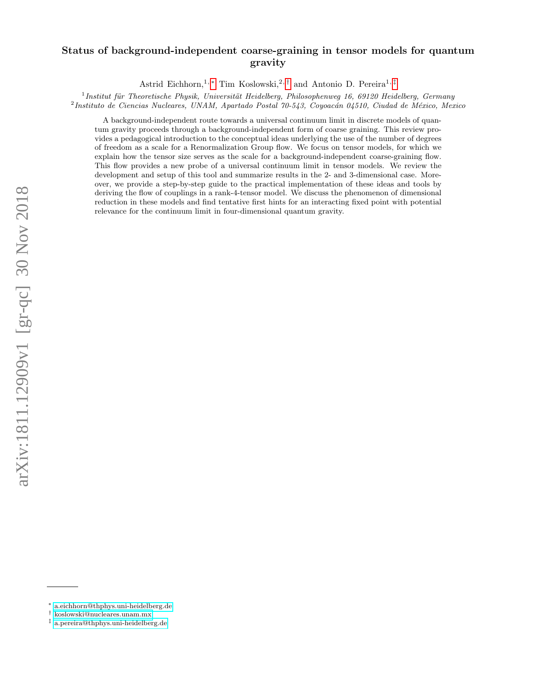# Status of background-independent coarse-graining in tensor models for quantum gravity

Astrid Eichhorn,<sup>1, \*</sup> Tim Koslowski,<sup>2, [†](#page-0-1)</sup> and Antonio D. Pereira<sup>1, [‡](#page-0-2)</sup>

<sup>1</sup> Institut für Theoretische Physik, Universität Heidelberg, Philosophenweg 16, 69120 Heidelberg, Germany <sup>2</sup> Instituto de Ciencias Nucleares, UNAM, Apartado Postal 70-543, Coyoacán 04510, Ciudad de México, Mexico

A background-independent route towards a universal continuum limit in discrete models of quantum gravity proceeds through a background-independent form of coarse graining. This review provides a pedagogical introduction to the conceptual ideas underlying the use of the number of degrees of freedom as a scale for a Renormalization Group flow. We focus on tensor models, for which we explain how the tensor size serves as the scale for a background-independent coarse-graining flow. This flow provides a new probe of a universal continuum limit in tensor models. We review the development and setup of this tool and summarize results in the 2- and 3-dimensional case. Moreover, we provide a step-by-step guide to the practical implementation of these ideas and tools by deriving the flow of couplings in a rank-4-tensor model. We discuss the phenomenon of dimensional reduction in these models and find tentative first hints for an interacting fixed point with potential relevance for the continuum limit in four-dimensional quantum gravity.

<span id="page-0-0"></span><sup>∗</sup> [a.eichhorn@thphys.uni-heidelberg.de](mailto:a.eichhorn@thphys.uni-heidelberg.de)

<span id="page-0-1"></span><sup>†</sup> [koslowski@nucleares.unam.mx](mailto:koslowski@nucleares.unam.mx)

<span id="page-0-2"></span><sup>‡</sup> [a.pereira@thphys.uni-heidelberg.de](mailto:a.pereira@thphys.uni-heidelberg.de)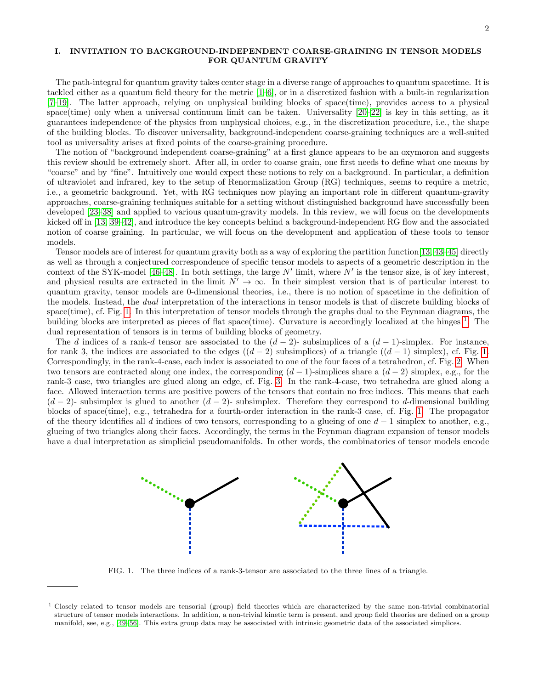### I. INVITATION TO BACKGROUND-INDEPENDENT COARSE-GRAINING IN TENSOR MODELS FOR QUANTUM GRAVITY

The path-integral for quantum gravity takes center stage in a diverse range of approaches to quantum spacetime. It is tackled either as a quantum field theory for the metric [\[1](#page-25-0)[–6\]](#page-25-1), or in a discretized fashion with a built-in regularization [\[7–](#page-25-2)[19\]](#page-25-3). The latter approach, relying on unphysical building blocks of space(time), provides access to a physical space(time) only when a universal continuum limit can be taken. Universality [\[20](#page-25-4)[–22\]](#page-26-0) is key in this setting, as it guarantees independence of the physics from unphysical choices, e.g., in the discretization procedure, i.e., the shape of the building blocks. To discover universality, background-independent coarse-graining techniques are a well-suited tool as universality arises at fixed points of the coarse-graining procedure.

The notion of "background independent coarse-graining" at a first glance appears to be an oxymoron and suggests this review should be extremely short. After all, in order to coarse grain, one first needs to define what one means by "coarse" and by "fine". Intuitively one would expect these notions to rely on a background. In particular, a definition of ultraviolet and infrared, key to the setup of Renormalization Group (RG) techniques, seems to require a metric, i.e., a geometric background. Yet, with RG techniques now playing an important role in different quantum-gravity approaches, coarse-graining techniques suitable for a setting without distinguished background have successfully been developed [\[23–](#page-26-1)[38\]](#page-26-2) and applied to various quantum-gravity models. In this review, we will focus on the developments kicked off in [\[13,](#page-25-5) [39](#page-26-3)[–42\]](#page-26-4), and introduce the key concepts behind a background-independent RG flow and the associated notion of coarse graining. In particular, we will focus on the development and application of these tools to tensor models.

Tensor models are of interest for quantum gravity both as a way of exploring the partition function[\[13,](#page-25-5) [43–](#page-26-5)[45\]](#page-26-6) directly as well as through a conjectured correspondence of specific tensor models to aspects of a geometric description in the context of the SYK-model [\[46–](#page-26-7)[48\]](#page-26-8). In both settings, the large  $N'$  limit, where  $N'$  is the tensor size, is of key interest, and physical results are extracted in the limit  $N' \to \infty$ . In their simplest version that is of particular interest to quantum gravity, tensor models are 0-dimensional theories, i.e., there is no notion of spacetime in the definition of the models. Instead, the dual interpretation of the interactions in tensor models is that of discrete building blocks of space(time), cf. Fig. [1.](#page-1-0) In this interpretation of tensor models through the graphs dual to the Feynman diagrams, the building blocks are interpreted as pieces of flat space(time). Curvature is accordingly localized at the hinges  $^1$  $^1$ . The dual representation of tensors is in terms of building blocks of geometry.

The d indices of a rank-d tensor are associated to the  $(d-2)$ - subsimplices of a  $(d-1)$ -simplex. For instance, for rank 3, the indices are associated to the edges  $((d-2)$  subsimplices) of a triangle  $((d-1)$  simplex), cf. Fig. [1.](#page-1-0) Correspondingly, in the rank-4-case, each index is associated to one of the four faces of a tetrahedron, cf. Fig. [2.](#page-2-0) When two tensors are contracted along one index, the corresponding  $(d-1)$ -simplices share a  $(d-2)$  simplex, e.g., for the rank-3 case, two triangles are glued along an edge, cf. Fig. [3.](#page-2-1) In the rank-4-case, two tetrahedra are glued along a face. Allowed interaction terms are positive powers of the tensors that contain no free indices. This means that each  $(d-2)$ - subsimplex is glued to another  $(d-2)$ - subsimplex. Therefore they correspond to d-dimensional building blocks of space(time), e.g., tetrahedra for a fourth-order interaction in the rank-3 case, cf. Fig. [1.](#page-1-0) The propagator of the theory identifies all d indices of two tensors, corresponding to a glueing of one  $d-1$  simplex to another, e.g., glueing of two triangles along their faces. Accordingly, the terms in the Feynman diagram expansion of tensor models have a dual interpretation as simplicial pseudomanifolds. In other words, the combinatorics of tensor models encode



<span id="page-1-0"></span>FIG. 1. The three indices of a rank-3-tensor are associated to the three lines of a triangle.

<span id="page-1-1"></span><sup>&</sup>lt;sup>1</sup> Closely related to tensor models are tensorial (group) field theories which are characterized by the same non-trivial combinatorial structure of tensor models interactions. In addition, a non-trivial kinetic term is present, and group field theories are defined on a group manifold, see, e.g., [\[49–](#page-26-9)[56\]](#page-26-10). This extra group data may be associated with intrinsic geometric data of the associated simplices.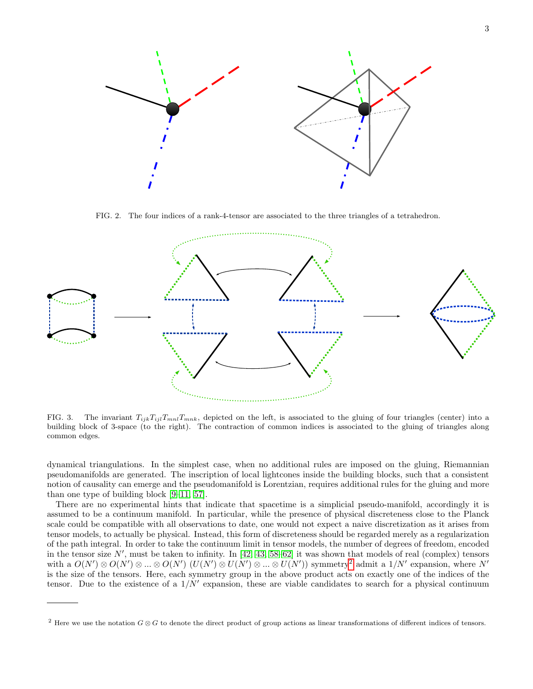

<span id="page-2-0"></span>FIG. 2. The four indices of a rank-4-tensor are associated to the three triangles of a tetrahedron.



<span id="page-2-1"></span>FIG. 3. The invariant  $T_{ijk}T_{ijl}T_{mnl}T_{mnk}$ , depicted on the left, is associated to the gluing of four triangles (center) into a building block of 3-space (to the right). The contraction of common indices is associated to the gluing of triangles along common edges.

dynamical triangulations. In the simplest case, when no additional rules are imposed on the gluing, Riemannian pseudomanifolds are generated. The inscription of local lightcones inside the building blocks, such that a consistent notion of causality can emerge and the pseudomanifold is Lorentzian, requires additional rules for the gluing and more than one type of building block [\[9–](#page-25-6)[11,](#page-25-7) [57\]](#page-26-11).

There are no experimental hints that indicate that spacetime is a simplicial pseudo-manifold, accordingly it is assumed to be a continuum manifold. In particular, while the presence of physical discreteness close to the Planck scale could be compatible with all observations to date, one would not expect a naive discretization as it arises from tensor models, to actually be physical. Instead, this form of discreteness should be regarded merely as a regularization of the path integral. In order to take the continuum limit in tensor models, the number of degrees of freedom, encoded in the tensor size  $N'$ , must be taken to infinity. In [\[42,](#page-26-4) [43,](#page-26-5) [58–](#page-26-12)[62\]](#page-26-13) it was shown that models of real (complex) tensors with a  $O(N')\otimes O(N')\otimes...\otimes O(N')$   $(U(N')\otimes U(N')\otimes...\otimes U(N'))$  symmetry<sup>[2](#page-2-2)</sup> admit a  $1/N'$  expansion, where N' is the size of the tensors. Here, each symmetry group in the above product acts on exactly one of the indices of the tensor. Due to the existence of a  $1/N'$  expansion, these are viable candidates to search for a physical continuum

<span id="page-2-2"></span><sup>&</sup>lt;sup>2</sup> Here we use the notation  $G \otimes G$  to denote the direct product of group actions as linear transformations of different indices of tensors.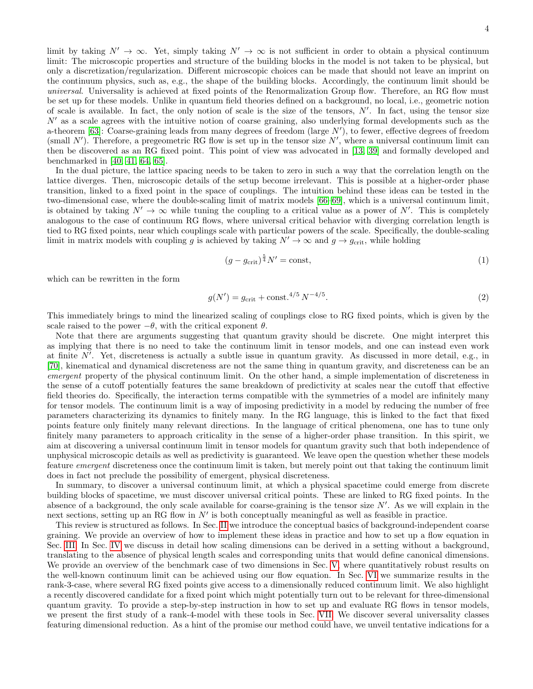limit by taking  $N' \to \infty$ . Yet, simply taking  $N' \to \infty$  is not sufficient in order to obtain a physical continuum limit: The microscopic properties and structure of the building blocks in the model is not taken to be physical, but only a discretization/regularization. Different microscopic choices can be made that should not leave an imprint on the continuum physics, such as, e.g., the shape of the building blocks. Accordingly, the continuum limit should be universal. Universality is achieved at fixed points of the Renormalization Group flow. Therefore, an RG flow must be set up for these models. Unlike in quantum field theories defined on a background, no local, i.e., geometric notion of scale is available. In fact, the only notion of scale is the size of the tensors,  $N'$ . In fact, using the tensor size  $N'$  as a scale agrees with the intuitive notion of coarse graining, also underlying formal developments such as the a-theorem [\[63\]](#page-26-14): Coarse-graining leads from many degrees of freedom (large  $N'$ ), to fewer, effective degrees of freedom (small  $N'$ ). Therefore, a pregeometric RG flow is set up in the tensor size  $N'$ , where a universal continuum limit can then be discovered as an RG fixed point. This point of view was advocated in [\[13,](#page-25-5) [39\]](#page-26-3) and formally developed and benchmarked in [\[40,](#page-26-15) [41,](#page-26-16) [64,](#page-26-17) [65\]](#page-26-18).

In the dual picture, the lattice spacing needs to be taken to zero in such a way that the correlation length on the lattice diverges. Then, microscopic details of the setup become irrelevant. This is possible at a higher-order phase transition, linked to a fixed point in the space of couplings. The intuition behind these ideas can be tested in the two-dimensional case, where the double-scaling limit of matrix models [\[66–](#page-26-19)[69\]](#page-26-20), which is a universal continuum limit, is obtained by taking  $N' \to \infty$  while tuning the coupling to a critical value as a power of N'. This is completely analogous to the case of continuum RG flows, where universal critical behavior with diverging correlation length is tied to RG fixed points, near which couplings scale with particular powers of the scale. Specifically, the double-scaling limit in matrix models with coupling g is achieved by taking  $N' \to \infty$  and  $g \to g_{\rm crit}$ , while holding

$$
(g - g_{\text{crit}})^{\frac{5}{4}} N' = \text{const},\tag{1}
$$

which can be rewritten in the form

$$
g(N') = g_{\text{crit}} + \text{const.}^{4/5} N^{-4/5}.
$$
 (2)

This immediately brings to mind the linearized scaling of couplings close to RG fixed points, which is given by the scale raised to the power  $-\theta$ , with the critical exponent  $\theta$ .

Note that there are arguments suggesting that quantum gravity should be discrete. One might interpret this as implying that there is no need to take the continuum limit in tensor models, and one can instead even work at finite  $N'$ . Yet, discreteness is actually a subtle issue in quantum gravity. As discussed in more detail, e.g., in [\[70\]](#page-26-21), kinematical and dynamical discreteness are not the same thing in quantum gravity, and discreteness can be an emergent property of the physical continuum limit. On the other hand, a simple implementation of discreteness in the sense of a cutoff potentially features the same breakdown of predictivity at scales near the cutoff that effective field theories do. Specifically, the interaction terms compatible with the symmetries of a model are infinitely many for tensor models. The continuum limit is a way of imposing predictivity in a model by reducing the number of free parameters characterizing its dynamics to finitely many. In the RG language, this is linked to the fact that fixed points feature only finitely many relevant directions. In the language of critical phenomena, one has to tune only finitely many parameters to approach criticality in the sense of a higher-order phase transition. In this spirit, we aim at discovering a universal continuum limit in tensor models for quantum gravity such that both independence of unphysical microscopic details as well as predictivity is guaranteed. We leave open the question whether these models feature emergent discreteness once the continuum limit is taken, but merely point out that taking the continuum limit does in fact not preclude the possibility of emergent, physical discreteness.

In summary, to discover a universal continuum limit, at which a physical spacetime could emerge from discrete building blocks of spacetime, we must discover universal critical points. These are linked to RG fixed points. In the absence of a background, the only scale available for coarse-graining is the tensor size  $N'$ . As we will explain in the next sections, setting up an RG flow in  $N'$  is both conceptually meaningful as well as feasible in practice.

This review is structured as follows. In Sec. [II](#page-4-0) we introduce the conceptual basics of background-independent coarse graining. We provide an overview of how to implement these ideas in practice and how to set up a flow equation in Sec. [III.](#page-5-0) In Sec. [IV](#page-9-0) we discuss in detail how scaling dimensions can be derived in a setting without a background, translating to the absence of physical length scales and corresponding units that would define canonical dimensions. We provide an overview of the benchmark case of two dimensions in Sec. [V,](#page-11-0) where quantitatively robust results on the well-known continuum limit can be achieved using our flow equation. In Sec. [VI](#page-13-0) we summarize results in the rank-3-case, where several RG fixed points give access to a dimensionally reduced continuum limit. We also highlight a recently discovered candidate for a fixed point which might potentially turn out to be relevant for three-dimensional quantum gravity. To provide a step-by-step instruction in how to set up and evaluate RG flows in tensor models, we present the first study of a rank-4-model with these tools in Sec. [VII.](#page-15-0) We discover several universality classes featuring dimensional reduction. As a hint of the promise our method could have, we unveil tentative indications for a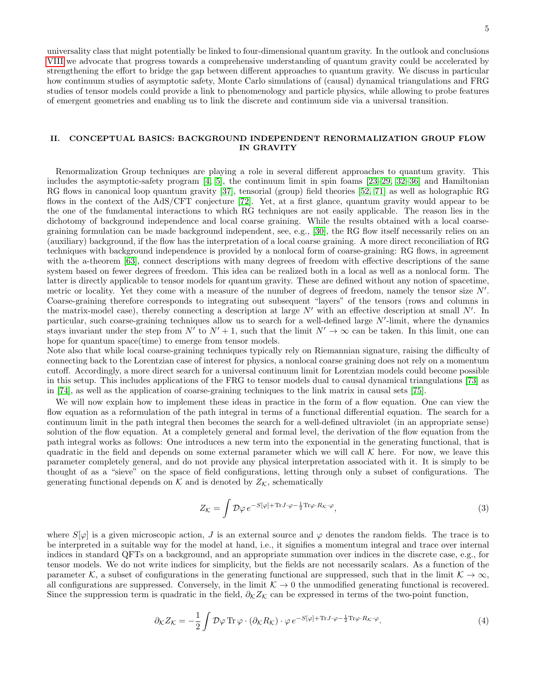universality class that might potentially be linked to four-dimensional quantum gravity. In the outlook and conclusions [VIII](#page-23-0) we advocate that progress towards a comprehensive understanding of quantum gravity could be accelerated by strengthening the effort to bridge the gap between different approaches to quantum gravity. We discuss in particular how continuum studies of asymptotic safety, Monte Carlo simulations of (causal) dynamical triangulations and FRG studies of tensor models could provide a link to phenomenology and particle physics, while allowing to probe features of emergent geometries and enabling us to link the discrete and continuum side via a universal transition.

## <span id="page-4-0"></span>II. CONCEPTUAL BASICS: BACKGROUND INDEPENDENT RENORMALIZATION GROUP FLOW IN GRAVITY

Renormalization Group techniques are playing a role in several different approaches to quantum gravity. This includes the asymptotic-safety program [\[4,](#page-25-8) [5\]](#page-25-9), the continuum limit in spin foams [\[23–](#page-26-1)[29,](#page-26-22) [32–](#page-26-23)[36\]](#page-26-24) and Hamiltonian RG flows in canonical loop quantum gravity [\[37\]](#page-26-25), tensorial (group) field theories [\[52,](#page-26-26) [71\]](#page-26-27) as well as holographic RG flows in the context of the AdS/CFT conjecture [\[72\]](#page-26-28). Yet, at a first glance, quantum gravity would appear to be the one of the fundamental interactions to which RG techniques are not easily applicable. The reason lies in the dichotomy of background independence and local coarse graining. While the results obtained with a local coarsegraining formulation can be made background independent, see, e.g., [\[30\]](#page-26-29), the RG flow itself necessarily relies on an (auxiliary) background, if the flow has the interpretation of a local coarse graining. A more direct reconciliation of RG techniques with background independence is provided by a nonlocal form of coarse-graining: RG flows, in agreement with the a-theorem [\[63\]](#page-26-14), connect descriptions with many degrees of freedom with effective descriptions of the same system based on fewer degrees of freedom. This idea can be realized both in a local as well as a nonlocal form. The latter is directly applicable to tensor models for quantum gravity. These are defined without any notion of spacetime, metric or locality. Yet they come with a measure of the number of degrees of freedom, namely the tensor size  $N'$ . Coarse-graining therefore corresponds to integrating out subsequent "layers" of the tensors (rows and columns in the matrix-model case), thereby connecting a description at large  $N'$  with an effective description at small  $N'$ . In particular, such coarse-graining techniques allow us to search for a well-defined large  $N'$ -limit, where the dynamics stays invariant under the step from  $N'$  to  $N' + 1$ , such that the limit  $N' \to \infty$  can be taken. In this limit, one can hope for quantum space(time) to emerge from tensor models.

Note also that while local coarse-graining techniques typically rely on Riemannian signature, raising the difficulty of connecting back to the Lorentzian case of interest for physics, a nonlocal coarse graining does not rely on a momentum cutoff. Accordingly, a more direct search for a universal continuum limit for Lorentzian models could become possible in this setup. This includes applications of the FRG to tensor models dual to causal dynamical triangulations [\[73\]](#page-26-30) as in [\[74\]](#page-26-31), as well as the application of coarse-graining techniques to the link matrix in causal sets [\[75\]](#page-26-32).

We will now explain how to implement these ideas in practice in the form of a flow equation. One can view the flow equation as a reformulation of the path integral in terms of a functional differential equation. The search for a continuum limit in the path integral then becomes the search for a well-defined ultraviolet (in an appropriate sense) solution of the flow equation. At a completely general and formal level, the derivation of the flow equation from the path integral works as follows: One introduces a new term into the exponential in the generating functional, that is quadratic in the field and depends on some external parameter which we will call  $K$  here. For now, we leave this parameter completely general, and do not provide any physical interpretation associated with it. It is simply to be thought of as a "sieve" on the space of field configurations, letting through only a subset of configurations. The generating functional depends on  $K$  and is denoted by  $Z_K$ , schematically

<span id="page-4-1"></span>
$$
Z_{\mathcal{K}} = \int \mathcal{D}\varphi \, e^{-S[\varphi] + \text{Tr}J \cdot \varphi - \frac{1}{2} \text{Tr}\varphi \cdot R_{\mathcal{K}} \cdot \varphi},\tag{3}
$$

where  $S[\varphi]$  is a given microscopic action, J is an external source and  $\varphi$  denotes the random fields. The trace is to be interpreted in a suitable way for the model at hand, i.e., it signifies a momentum integral and trace over internal indices in standard QFTs on a background, and an appropriate summation over indices in the discrete case, e.g., for tensor models. We do not write indices for simplicity, but the fields are not necessarily scalars. As a function of the parameter K, a subset of configurations in the generating functional are suppressed, such that in the limit  $K \to \infty$ , all configurations are suppressed. Conversely, in the limit  $K \to 0$  the unmodified generating functional is recovered. Since the suppression term is quadratic in the field,  $\partial_K Z_K$  can be expressed in terms of the two-point function,

$$
\partial_{\mathcal{K}} Z_{\mathcal{K}} = -\frac{1}{2} \int \mathcal{D}\varphi \operatorname{Tr} \varphi \cdot (\partial_{\mathcal{K}} R_{\mathcal{K}}) \cdot \varphi \, e^{-S[\varphi] + \operatorname{Tr} J \cdot \varphi - \frac{1}{2} \operatorname{Tr} \varphi \cdot R_{\mathcal{K}} \cdot \varphi}.
$$
 (4)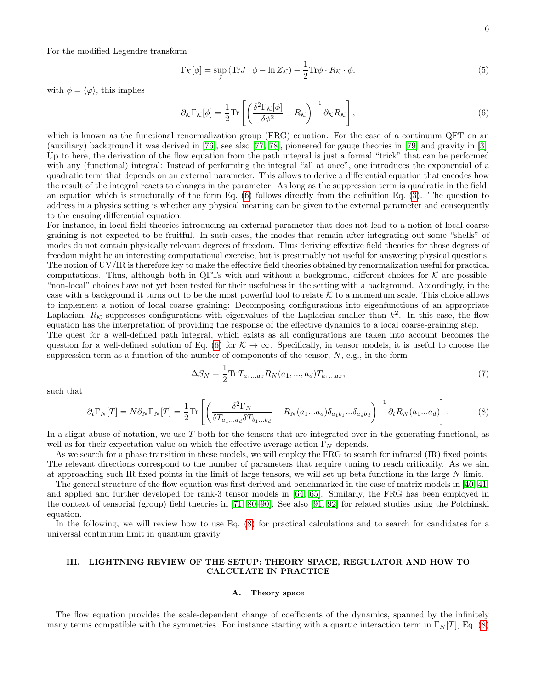For the modified Legendre transform

$$
\Gamma_{\mathcal{K}}[\phi] = \sup_{J} \left( \text{Tr} J \cdot \phi - \ln Z_{\mathcal{K}} \right) - \frac{1}{2} \text{Tr} \phi \cdot R_{\mathcal{K}} \cdot \phi,
$$
\n(5)

with  $\phi = \langle \varphi \rangle$ , this implies

<span id="page-5-1"></span>
$$
\partial_{\mathcal{K}} \Gamma_{\mathcal{K}}[\phi] = \frac{1}{2} \text{Tr} \left[ \left( \frac{\delta^2 \Gamma_{\mathcal{K}}[\phi]}{\delta \phi^2} + R_{\mathcal{K}} \right)^{-1} \partial_{\mathcal{K}} R_{\mathcal{K}} \right],\tag{6}
$$

which is known as the functional renormalization group (FRG) equation. For the case of a continuum QFT on an (auxiliary) background it was derived in [\[76\]](#page-26-33), see also [\[77,](#page-26-34) [78\]](#page-26-35), pioneered for gauge theories in [\[79\]](#page-26-36) and gravity in [\[3\]](#page-25-10). Up to here, the derivation of the flow equation from the path integral is just a formal "trick" that can be performed with any (functional) integral: Instead of performing the integral "all at once", one introduces the exponential of a quadratic term that depends on an external parameter. This allows to derive a differential equation that encodes how the result of the integral reacts to changes in the parameter. As long as the suppression term is quadratic in the field, an equation which is structurally of the form Eq. [\(6\)](#page-5-1) follows directly from the definition Eq. [\(3\)](#page-4-1). The question to address in a physics setting is whether any physical meaning can be given to the external parameter and consequently to the ensuing differential equation.

For instance, in local field theories introducing an external parameter that does not lead to a notion of local coarse graining is not expected to be fruitful. In such cases, the modes that remain after integrating out some "shells" of modes do not contain physically relevant degrees of freedom. Thus deriving effective field theories for those degrees of freedom might be an interesting computational exercise, but is presumably not useful for answering physical questions. The notion of UV/IR is therefore key to make the effective field theories obtained by renormalization useful for practical computations. Thus, although both in QFTs with and without a background, different choices for  $K$  are possible, "non-local" choices have not yet been tested for their usefulness in the setting with a background. Accordingly, in the case with a background it turns out to be the most powerful tool to relate  $K$  to a momentum scale. This choice allows to implement a notion of local coarse graining: Decomposing configurations into eigenfunctions of an appropriate Laplacian,  $R_K$  suppresses configurations with eigenvalues of the Laplacian smaller than  $k^2$ . In this case, the flow equation has the interpretation of providing the response of the effective dynamics to a local coarse-graining step.

The quest for a well-defined path integral, which exists as all configurations are taken into account becomes the question for a well-defined solution of Eq. [\(6\)](#page-5-1) for  $K \to \infty$ . Specifically, in tensor models, it is useful to choose the suppression term as a function of the number of components of the tensor,  $N$ , e.g., in the form

$$
\Delta S_N = \frac{1}{2} \text{Tr} \, T_{a_1...a_d} R_N(a_1, ..., a_d) T_{a_1...a_d},\tag{7}
$$

such that

<span id="page-5-2"></span>
$$
\partial_t \Gamma_N[T] = N \partial_N \Gamma_N[T] = \frac{1}{2} \text{Tr} \left[ \left( \frac{\delta^2 \Gamma_N}{\delta T_{a_1 \dots a_d} \delta T_{b_1 \dots b_d}} + R_N(a_1 \dots a_d) \delta_{a_1 b_1} \dots \delta_{a_d b_d} \right)^{-1} \partial_t R_N(a_1 \dots a_d) \right]. \tag{8}
$$

In a slight abuse of notation, we use  $T$  both for the tensors that are integrated over in the generating functional, as well as for their expectation value on which the effective average action  $\Gamma_N$  depends.

As we search for a phase transition in these models, we will employ the FRG to search for infrared (IR) fixed points. The relevant directions correspond to the number of parameters that require tuning to reach criticality. As we aim at approaching such IR fixed points in the limit of large tensors, we will set up beta functions in the large N limit.

The general structure of the flow equation was first derived and benchmarked in the case of matrix models in [\[40,](#page-26-15) [41\]](#page-26-16) and applied and further developed for rank-3 tensor models in [\[64,](#page-26-17) [65\]](#page-26-18). Similarly, the FRG has been employed in the context of tensorial (group) field theories in [\[71,](#page-26-27) [80](#page-26-37)[–90\]](#page-27-0). See also [\[91,](#page-27-1) [92\]](#page-27-2) for related studies using the Polchinski equation.

In the following, we will review how to use Eq. [\(8\)](#page-5-2) for practical calculations and to search for candidates for a universal continuum limit in quantum gravity.

### <span id="page-5-0"></span>III. LIGHTNING REVIEW OF THE SETUP: THEORY SPACE, REGULATOR AND HOW TO CALCULATE IN PRACTICE

#### A. Theory space

The flow equation provides the scale-dependent change of coefficients of the dynamics, spanned by the infinitely many terms compatible with the symmetries. For instance starting with a quartic interaction term in  $\Gamma_N[T]$ , Eq. [\(8\)](#page-5-2)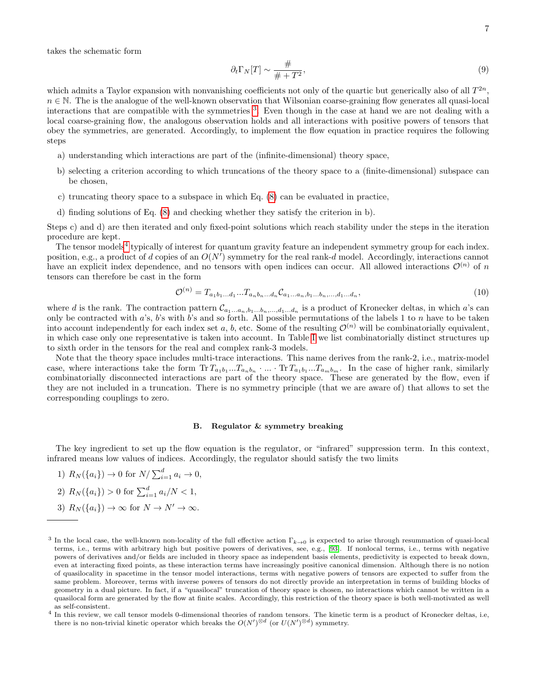takes the schematic form

$$
\partial_t \Gamma_N[T] \sim \frac{\#}{\# + T^2},\tag{9}
$$

which admits a Taylor expansion with nonvanishing coefficients not only of the quartic but generically also of all  $T^{2n}$ ,  $n \in \mathbb{N}$ . The is the analogue of the well-known observation that Wilsonian coarse-graining flow generates all quasi-local interactions that are compatible with the symmetries [3](#page-6-0) . Even though in the case at hand we are not dealing with a local coarse-graining flow, the analogous observation holds and all interactions with positive powers of tensors that obey the symmetries, are generated. Accordingly, to implement the flow equation in practice requires the following steps

- a) understanding which interactions are part of the (infinite-dimensional) theory space,
- b) selecting a criterion according to which truncations of the theory space to a (finite-dimensional) subspace can be chosen,
- c) truncating theory space to a subspace in which Eq. [\(8\)](#page-5-2) can be evaluated in practice,
- d) finding solutions of Eq. [\(8\)](#page-5-2) and checking whether they satisfy the criterion in b).

Steps c) and d) are then iterated and only fixed-point solutions which reach stability under the steps in the iteration procedure are kept.

The tensor models<sup>[4](#page-6-1)</sup> typically of interest for quantum gravity feature an independent symmetry group for each index. position, e.g., a product of d copies of an  $O(N')$  symmetry for the real rank-d model. Accordingly, interactions cannot have an explicit index dependence, and no tensors with open indices can occur. All allowed interactions  $\mathcal{O}^{(n)}$  of n tensors can therefore be cast in the form

<span id="page-6-2"></span>
$$
\mathcal{O}^{(n)} = T_{a_1 b_1 \dots d_1} \dots T_{a_n b_n \dots d_n} \mathcal{C}_{a_1 \dots a_n, b_1 \dots b_n, \dots, d_1 \dots d_n},\tag{10}
$$

where d is the rank. The contraction pattern  $\mathcal{C}_{a_1...a_n,b_1...b_n,...,d_1...d_n}$  is a product of Kronecker deltas, in which a's can only be contracted with  $a$ 's,  $b$ 's with  $b$ 's and so forth. All possible permutations of the labels 1 to  $n$  have to be taken into account independently for each index set a, b, etc. Some of the resulting  $\mathcal{O}^{(n)}$  will be combinatorially equivalent, in which case only one representative is taken into account. In Table [I](#page-7-0) we list combinatorially distinct structures up to sixth order in the tensors for the real and complex rank-3 models.

Note that the theory space includes multi-trace interactions. This name derives from the rank-2, i.e., matrix-model case, where interactions take the form  $\text{Tr } T_{a_1b_1}...T_{a_nb_n}$  ...  $\text{Tr } T_{a_1b_1}...T_{a_mb_m}$ . In the case of higher rank, similarly combinatorially disconnected interactions are part of the theory space. These are generated by the flow, even if they are not included in a truncation. There is no symmetry principle (that we are aware of) that allows to set the corresponding couplings to zero.

#### B. Regulator & symmetry breaking

The key ingredient to set up the flow equation is the regulator, or "infrared" suppression term. In this context, infrared means low values of indices. Accordingly, the regulator should satisfy the two limits

1)  $R_N({a_i}) \to 0$  for  $N / \sum_{i=1}^d a_i \to 0$ , 2)  $R_N({a_i}) > 0$  for  $\sum_{i=1}^d a_i/N < 1$ , 3)  $R_N({a_i}) \to \infty$  for  $N \to N' \to \infty$ .

<span id="page-6-0"></span><sup>&</sup>lt;sup>3</sup> In the local case, the well-known non-locality of the full effective action  $\Gamma_{k\to 0}$  is expected to arise through resummation of quasi-local terms, i.e., terms with arbitrary high but positive powers of derivatives, see, e.g., [\[93\]](#page-27-3). If nonlocal terms, i.e., terms with negative powers of derivatives and/or fields are included in theory space as independent basis elements, predictivity is expected to break down, even at interacting fixed points, as these interaction terms have increasingly positive canonical dimension. Although there is no notion of quasilocality in spacetime in the tensor model interactions, terms with negative powers of tensors are expected to suffer from the same problem. Moreover, terms with inverse powers of tensors do not directly provide an interpretation in terms of building blocks of geometry in a dual picture. In fact, if a "quasilocal" truncation of theory space is chosen, no interactions which cannot be written in a quasilocal form are generated by the flow at finite scales. Accordingly, this restriction of the theory space is both well-motivated as well as self-consistent.

<span id="page-6-1"></span><sup>4</sup> In this review, we call tensor models 0-dimensional theories of random tensors. The kinetic term is a product of Kronecker deltas, i.e, there is no non-trivial kinetic operator which breaks the  $O(N')^{\otimes d}$  (or  $U(N')^{\otimes d}$ ) symmetry.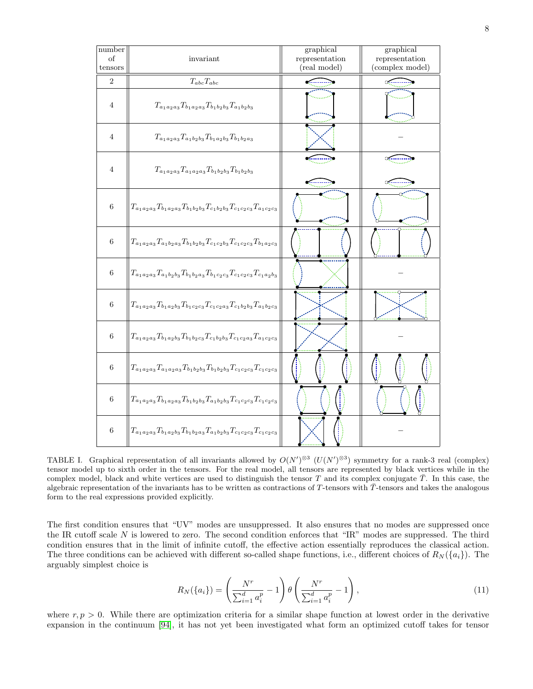

<span id="page-7-0"></span>TABLE I. Graphical representation of all invariants allowed by  $O(N')^{\otimes 3}$  ( $U(N')^{\otimes 3}$ ) symmetry for a rank-3 real (complex) tensor model up to sixth order in the tensors. For the real model, all tensors are represented by black vertices while in the complex model, black and white vertices are used to distinguish the tensor T and its complex conjugate  $\overline{T}$ . In this case, the algebraic representation of the invariants has to be written as contractions of  $T$ -tensors with  $\overline{T}$ -tensors and takes the analogous form to the real expressions provided explicitly.

The first condition ensures that "UV" modes are unsuppressed. It also ensures that no modes are suppressed once the IR cutoff scale N is lowered to zero. The second condition enforces that "IR" modes are suppressed. The third condition ensures that in the limit of infinite cutoff, the effective action essentially reproduces the classical action. The three conditions can be achieved with different so-called shape functions, i.e., different choices of  $R_N({a_i})$ . The arguably simplest choice is

<span id="page-7-1"></span>
$$
R_N(\{a_i\}) = \left(\frac{N^r}{\sum_{i=1}^d a_i^p} - 1\right) \theta \left(\frac{N^r}{\sum_{i=1}^d a_i^p} - 1\right),\tag{11}
$$

where  $r, p > 0$ . While there are optimization criteria for a similar shape function at lowest order in the derivative expansion in the continuum [\[94\]](#page-27-4), it has not yet been investigated what form an optimized cutoff takes for tensor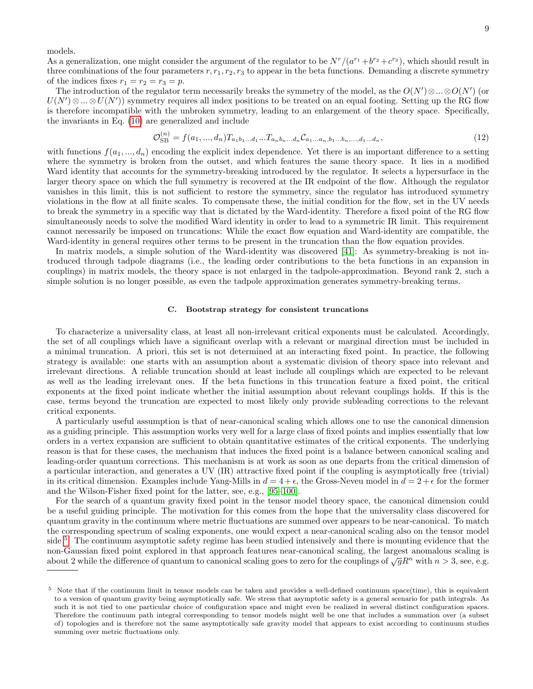models.

As a generalization, one might consider the argument of the regulator to be  $N^r/(a^{r_1}+b^{r_2}+c^{r_3})$ , which should result in three combinations of the four parameters  $r, r_1, r_2, r_3$  to appear in the beta functions. Demanding a discrete symmetry of the indices fixes  $r_1 = r_2 = r_3 = p$ .

The introduction of the regulator term necessarily breaks the symmetry of the model, as the  $O(N')\otimes...\otimes O(N')$  (or  $U(N')\otimes...\otimes U(N')$  symmetry requires all index positions to be treated on an equal footing. Setting up the RG flow is therefore incompatible with the unbroken symmetry, leading to an enlargement of the theory space. Specifically, the invariants in Eq. [\(10\)](#page-6-2) are generalized and include

 $(1)$ 

$$
\mathcal{O}_{\rm SB}^{(n)} = f(a_1, ..., d_n) T_{a_1 b_1 ... d_1} ... T_{a_n b_n ... d_n} \mathcal{C}_{a_1 ... a_n, b_1 ... b_n, ..., d_1 ... d_n},\tag{12}
$$

with functions  $f(a_1, ..., a_n)$  encoding the explicit index dependence. Yet there is an important difference to a setting where the symmetry is broken from the outset, and which features the same theory space. It lies in a modified Ward identity that accounts for the symmetry-breaking introduced by the regulator. It selects a hypersurface in the larger theory space on which the full symmetry is recovered at the IR endpoint of the flow. Although the regulator vanishes in this limit, this is not sufficient to restore the symmetry, since the regulator has introduced symmetry violations in the flow at all finite scales. To compensate these, the initial condition for the flow, set in the UV needs to break the symmetry in a specific way that is dictated by the Ward-identity. Therefore a fixed point of the RG flow simultaneously needs to solve the modified Ward identity in order to lead to a symmetric IR limit. This requirement cannot necessarily be imposed on truncations: While the exact flow equation and Ward-identity are compatible, the Ward-identity in general requires other terms to be present in the truncation than the flow equation provides.

In matrix models, a simple solution of the Ward-identity was discovered [\[41\]](#page-26-16): As symmetry-breaking is not introduced through tadpole diagrams (i.e., the leading order contributions to the beta functions in an expansion in couplings) in matrix models, the theory space is not enlarged in the tadpole-approximation. Beyond rank 2, such a simple solution is no longer possible, as even the tadpole approximation generates symmetry-breaking terms.

#### C. Bootstrap strategy for consistent truncations

To characterize a universality class, at least all non-irrelevant critical exponents must be calculated. Accordingly, the set of all couplings which have a significant overlap with a relevant or marginal direction must be included in a minimal truncation. A priori, this set is not determined at an interacting fixed point. In practice, the following strategy is available: one starts with an assumption about a systematic division of theory space into relevant and irrelevant directions. A reliable truncation should at least include all couplings which are expected to be relevant as well as the leading irrelevant ones. If the beta functions in this truncation feature a fixed point, the critical exponents at the fixed point indicate whether the initial assumption about relevant couplings holds. If this is the case, terms beyond the truncation are expected to most likely only provide subleading corrections to the relevant critical exponents.

A particularly useful assumption is that of near-canonical scaling which allows one to use the canonical dimension as a guiding principle. This assumption works very well for a large class of fixed points and implies essentially that low orders in a vertex expansion are sufficient to obtain quantitative estimates of the critical exponents. The underlying reason is that for these cases, the mechanism that induces the fixed point is a balance between canonical scaling and leading-order quantum corrections. This mechanism is at work as soon as one departs from the critical dimension of a particular interaction, and generates a UV (IR) attractive fixed point if the coupling is asymptotically free (trivial) in its critical dimension. Examples include Yang-Mills in  $d = 4 + \epsilon$ , the Gross-Neveu model in  $d = 2 + \epsilon$  for the former and the Wilson-Fisher fixed point for the latter, see, e.g., [\[95–](#page-27-5)[100\]](#page-27-6).

For the search of a quantum gravity fixed point in the tensor model theory space, the canonical dimension could be a useful guiding principle. The motivation for this comes from the hope that the universality class discovered for quantum gravity in the continuum where metric fluctuations are summed over appears to be near-canonical. To match the corresponding spectrum of scaling exponents, one would expect a near-canonical scaling also on the tensor model side <sup>[5](#page-8-0)</sup>. The continuum asymptotic safety regime has been studied intensively and there is mounting evidence that the non-Gaussian fixed point explored in that approach features near-canonical scaling, the largest anomalous scaling is about 2 while the difference of quantum to canonical scaling goes to zero for the couplings of  $\sqrt{g}R^n$  with  $n > 3$ , see, e.g.

<span id="page-8-0"></span> $5$  Note that if the continuum limit in tensor models can be taken and provides a well-defined continuum space(time), this is equivalent to a version of quantum gravity being asymptotically safe. We stress that asymptotic safety is a general scenario for path integrals. As such it is not tied to one particular choice of configuration space and might even be realized in several distinct configuration spaces. Therefore the continuum path integral corresponding to tensor models might well be one that includes a summation over (a subset of) topologies and is therefore not the same asymptotically safe gravity model that appears to exist according to continuum studies summing over metric fluctuations only.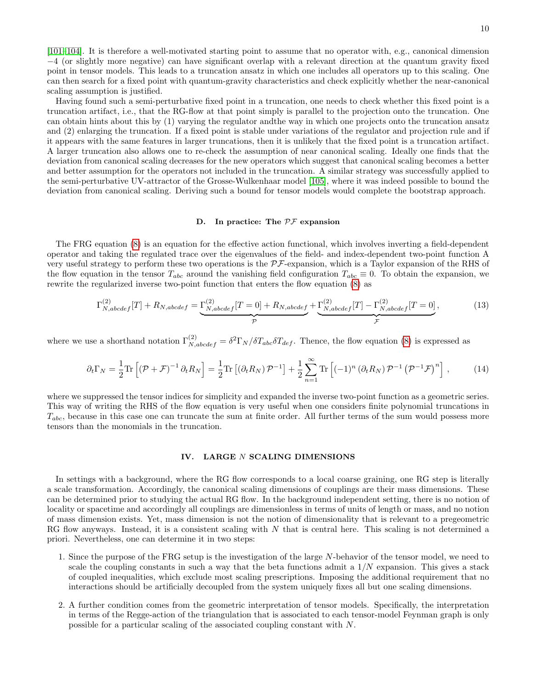10

[\[101–](#page-27-7)[104\]](#page-27-8). It is therefore a well-motivated starting point to assume that no operator with, e.g., canonical dimension −4 (or slightly more negative) can have significant overlap with a relevant direction at the quantum gravity fixed point in tensor models. This leads to a truncation ansatz in which one includes all operators up to this scaling. One can then search for a fixed point with quantum-gravity characteristics and check explicitly whether the near-canonical scaling assumption is justified.

Having found such a semi-perturbative fixed point in a truncation, one needs to check whether this fixed point is a truncation artifact, i.e., that the RG-flow at that point simply is parallel to the projection onto the truncation. One can obtain hints about this by (1) varying the regulator andthe way in which one projects onto the truncation ansatz and (2) enlarging the truncation. If a fixed point is stable under variations of the regulator and projection rule and if it appears with the same features in larger truncations, then it is unlikely that the fixed point is a truncation artifact. A larger truncation also allows one to re-check the assumption of near canonical scaling. Ideally one finds that the deviation from canonical scaling decreases for the new operators which suggest that canonical scaling becomes a better and better assumption for the operators not included in the truncation. A similar strategy was successfully applied to the semi-perturbative UV-attractor of the Grosse-Wulkenhaar model [\[105\]](#page-27-9), where it was indeed possible to bound the deviation from canonical scaling. Deriving such a bound for tensor models would complete the bootstrap approach.

#### D. In practice: The  $\mathcal{PF}$  expansion

The FRG equation [\(8\)](#page-5-2) is an equation for the effective action functional, which involves inverting a field-dependent operator and taking the regulated trace over the eigenvalues of the field- and index-dependent two-point function A very useful strategy to perform these two operations is the  $\mathcal{PF}$ -expansion, which is a Taylor expansion of the RHS of the flow equation in the tensor  $T_{abc}$  around the vanishing field configuration  $T_{abc} \equiv 0$ . To obtain the expansion, we rewrite the regularized inverse two-point function that enters the flow equation [\(8\)](#page-5-2) as

$$
\Gamma_{N,abcdef}^{(2)}[T] + R_{N,abcdef} = \underbrace{\Gamma_{N,abcdef}^{(2)}[T=0] + R_{N,abcdef}}_{\mathcal{P}} + \underbrace{\Gamma_{N,abcdef}^{(2)}[T] - \Gamma_{N,abcdef}^{(2)}[T=0]}_{\mathcal{F}},\tag{13}
$$

where we use a shorthand notation  $\Gamma_{N,abcdef}^{(2)} = \delta^2 \Gamma_N / \delta T_{abc} \delta T_{def}$ . Thence, the flow equation [\(8\)](#page-5-2) is expressed as

$$
\partial_t \Gamma_N = \frac{1}{2} \text{Tr} \left[ \left( \mathcal{P} + \mathcal{F} \right)^{-1} \partial_t R_N \right] = \frac{1}{2} \text{Tr} \left[ \left( \partial_t R_N \right) \mathcal{P}^{-1} \right] + \frac{1}{2} \sum_{n=1}^{\infty} \text{Tr} \left[ (-1)^n \left( \partial_t R_N \right) \mathcal{P}^{-1} \left( \mathcal{P}^{-1} \mathcal{F} \right)^n \right],\tag{14}
$$

where we suppressed the tensor indices for simplicity and expanded the inverse two-point function as a geometric series. This way of writing the RHS of the flow equation is very useful when one considers finite polynomial truncations in  $T_{abc}$ , because in this case one can truncate the sum at finite order. All further terms of the sum would possess more tensors than the monomials in the truncation.

#### <span id="page-9-0"></span>IV. LARGE N SCALING DIMENSIONS

In settings with a background, where the RG flow corresponds to a local coarse graining, one RG step is literally a scale transformation. Accordingly, the canonical scaling dimensions of couplings are their mass dimensions. These can be determined prior to studying the actual RG flow. In the background independent setting, there is no notion of locality or spacetime and accordingly all couplings are dimensionless in terms of units of length or mass, and no notion of mass dimension exists. Yet, mass dimension is not the notion of dimensionality that is relevant to a pregeometric RG flow anyways. Instead, it is a consistent scaling with  $N$  that is central here. This scaling is not determined a priori. Nevertheless, one can determine it in two steps:

- 1. Since the purpose of the FRG setup is the investigation of the large N-behavior of the tensor model, we need to scale the coupling constants in such a way that the beta functions admit a  $1/N$  expansion. This gives a stack of coupled inequalities, which exclude most scaling prescriptions. Imposing the additional requirement that no interactions should be artificially decoupled from the system uniquely fixes all but one scaling dimensions.
- 2. A further condition comes from the geometric interpretation of tensor models. Specifically, the interpretation in terms of the Regge-action of the triangulation that is associated to each tensor-model Feynman graph is only possible for a particular scaling of the associated coupling constant with N.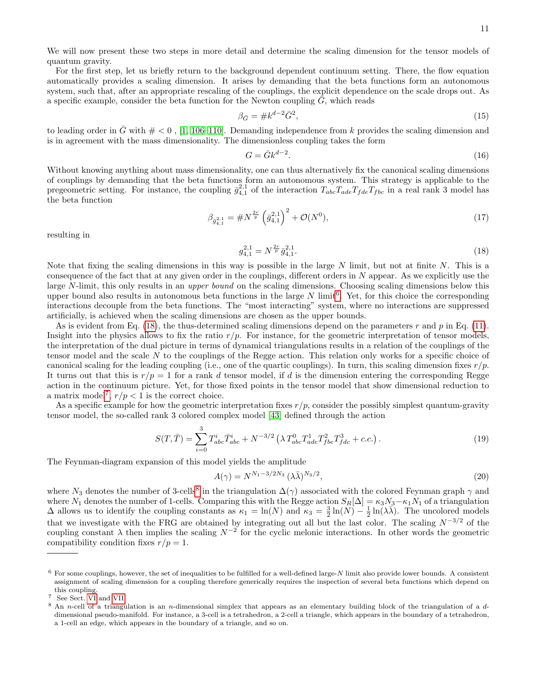We will now present these two steps in more detail and determine the scaling dimension for the tensor models of quantum gravity.

For the first step, let us briefly return to the background dependent continuum setting. There, the flow equation automatically provides a scaling dimension. It arises by demanding that the beta functions form an autonomous system, such that, after an appropriate rescaling of the couplings, the explicit dependence on the scale drops out. As a specific example, consider the beta function for the Newton coupling  $\tilde{G}$ , which reads

$$
\beta_{\bar{G}} = \#k^{d-2}\bar{G}^2,\tag{15}
$$

to leading order in  $\bar{G}$  with  $\# < 0$ , [\[1,](#page-25-0) [106–](#page-27-10)[110\]](#page-27-11). Demanding independence from k provides the scaling dimension and is in agreement with the mass dimensionality. The dimensionless coupling takes the form

$$
G = \bar{G}k^{d-2}.\tag{16}
$$

Without knowing anything about mass dimensionality, one can thus alternatively fix the canonical scaling dimensions of couplings by demanding that the beta functions form an autonomous system. This strategy is applicable to the pregeometric setting. For instance, the coupling  $\bar{g}_{4,1}^{2,1}$  of the interaction  $T_{abc}T_{ade}T_{fde}T_{fbc}$  in a real rank 3 model has the beta function

$$
\beta_{\bar{g}_{4,1}^{2,1}} = \#N^{\frac{2r}{p}} \left(\bar{g}_{4,1}^{2,1}\right)^2 + \mathcal{O}(N^0),\tag{17}
$$

resulting in

<span id="page-10-1"></span>
$$
g_{4,1}^{2,1} = N^{\frac{2r}{p}} \bar{g}_{4,1}^{2,1}.
$$
\n<sup>(18)</sup>

Note that fixing the scaling dimensions in this way is possible in the large  $N$  limit, but not at finite  $N$ . This is a consequence of the fact that at any given order in the couplings, different orders in N appear. As we explicitly use the large N-limit, this only results in an upper bound on the scaling dimensions. Choosing scaling dimensions below this upper bound also results in autonomous beta functions in the large  $N$  limit<sup>[6](#page-10-0)</sup>. Yet, for this choice the corresponding interactions decouple from the beta functions. The "most interacting" system, where no interactions are suppressed artificially, is achieved when the scaling dimensions are chosen as the upper bounds.

As is evident from Eq. [\(18\)](#page-10-1), the thus-determined scaling dimensions depend on the parameters r and p in Eq. [\(11\)](#page-7-1). Insight into the physics allows to fix the ratio  $r/p$ . For instance, for the geometric interpretation of tensor models, the interpretation of the dual picture in terms of dynamical triangulations results in a relation of the couplings of the tensor model and the scale N to the couplings of the Regge action. This relation only works for a specific choice of canonical scaling for the leading coupling (i.e., one of the quartic couplings). In turn, this scaling dimension fixes  $r/p$ . It turns out that this is  $r/p = 1$  for a rank d tensor model, if d is the dimension entering the corresponding Regge action in the continuum picture. Yet, for those fixed points in the tensor model that show dimensional reduction to a matrix model<sup>[7](#page-10-2)</sup>,  $r/p < 1$  is the correct choice.

As a specific example for how the geometric interpretation fixes  $r/p$ , consider the possibly simplest quantum-gravity tensor model, the so-called rank 3 colored complex model [\[43\]](#page-26-5) defined through the action

$$
S(T,\bar{T}) = \sum_{i=0}^{3} T_{abc}^{i} \bar{T}_{abc}^{i} + N^{-3/2} \left( \lambda T_{abc}^{0} T_{ade}^{1} T_{fbe}^{2} T_{fdc}^{3} + c.c. \right). \tag{19}
$$

The Feynman-diagram expansion of this model yields the amplitude

$$
A(\gamma) = N^{N_1 - 3/2N_3} (\lambda \bar{\lambda})^{N_3/2},
$$
\n(20)

where  $N_3$  denotes the number of 3-cells<sup>[8](#page-10-3)</sup> in the triangulation  $\Delta(\gamma)$  associated with the colored Feynman graph  $\gamma$  and where  $N_1$  denotes the number of 1-cells. Comparing this with the Regge action  $S_R[\Delta] = \kappa_3 N_3 - \kappa_1 N_1$  of a triangulation  $\Delta$  allows us to identify the coupling constants as  $\kappa_1 = \ln(N)$  and  $\kappa_3 = \frac{3}{2} \ln(N) - \frac{1}{2} \ln(\lambda \overline{\lambda})$ . The uncolored models that we investigate with the FRG are obtained by integrating out all but the last color. The scaling  $N^{-3/2}$  of the coupling constant  $\lambda$  then implies the scaling  $N^{-2}$  for the cyclic melonic interactions. In other words the geometric compatibility condition fixes  $r/p = 1$ .

<span id="page-10-0"></span> $6$  For some couplings, however, the set of inequalities to be fulfilled for a well-defined large-N limit also provide lower bounds. A consistent assignment of scaling dimension for a coupling therefore generically requires the inspection of several beta functions which depend on this coupling.

<span id="page-10-2"></span>See Sect. [VI](#page-13-0) and [VII.](#page-15-0)

<span id="page-10-3"></span> $8$  An n-cell of a triangulation is an n-dimensional simplex that appears as an elementary building block of the triangulation of a ddimensional pseudo-manifold. For instance, a 3-cell is a tetrahedron, a 2-cell a triangle, which appears in the boundary of a tetrahedron, a 1-cell an edge, which appears in the boundary of a triangle, and so on.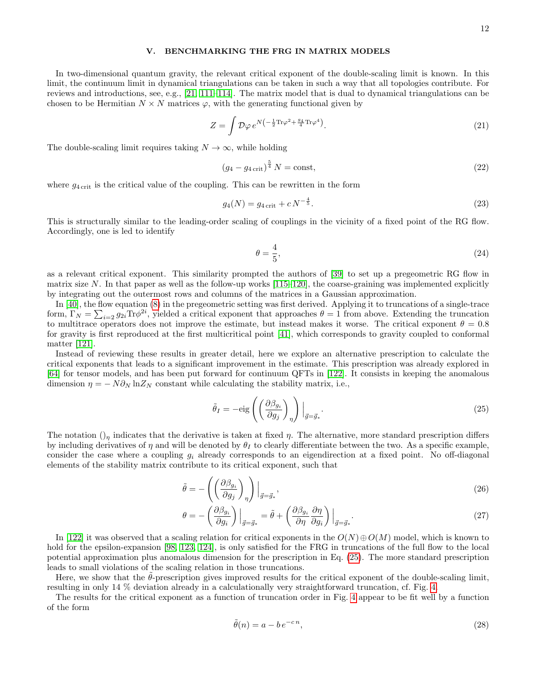### <span id="page-11-0"></span>V. BENCHMARKING THE FRG IN MATRIX MODELS

In two-dimensional quantum gravity, the relevant critical exponent of the double-scaling limit is known. In this limit, the continuum limit in dynamical triangulations can be taken in such a way that all topologies contribute. For reviews and introductions, see, e.g., [\[21,](#page-25-11) [111](#page-27-12)[–114\]](#page-27-13). The matrix model that is dual to dynamical triangulations can be chosen to be Hermitian  $N \times N$  matrices  $\varphi$ , with the generating functional given by

$$
Z = \int \mathcal{D}\varphi \, e^{N\left(-\frac{1}{2}\text{Tr}\varphi^2 + \frac{g_4}{4}\text{Tr}\varphi^4\right)}.
$$
\n
$$
(21)
$$

The double-scaling limit requires taking  $N \to \infty$ , while holding

$$
(g_4 - g_{4\,\text{crit}})^{\frac{5}{4}} N = \text{const},\tag{22}
$$

where  $g_{4 \text{crit}}$  is the critical value of the coupling. This can be rewritten in the form

$$
g_4(N) = g_{4\,\text{crit}} + c\,N^{-\frac{4}{5}}.\tag{23}
$$

This is structurally similar to the leading-order scaling of couplings in the vicinity of a fixed point of the RG flow. Accordingly, one is led to identify

$$
\theta = \frac{4}{5},\tag{24}
$$

as a relevant critical exponent. This similarity prompted the authors of [\[39\]](#page-26-3) to set up a pregeometric RG flow in matrix size N. In that paper as well as the follow-up works  $(115-120)$ , the coarse-graining was implemented explicitly by integrating out the outermost rows and columns of the matrices in a Gaussian approximation.

In [\[40\]](#page-26-15), the flow equation [\(8\)](#page-5-2) in the pregeometric setting was first derived. Applying it to truncations of a single-trace form,  $\Gamma_N = \sum_{i=2} g_{2i} \text{Tr} \phi^{2i}$ , yielded a critical exponent that approaches  $\theta = 1$  from above. Extending the truncation to multitrace operators does not improve the estimate, but instead makes it worse. The critical exponent  $\theta = 0.8$ for gravity is first reproduced at the first multicritical point [\[41\]](#page-26-16), which corresponds to gravity coupled to conformal matter [\[121\]](#page-27-16).

Instead of reviewing these results in greater detail, here we explore an alternative prescription to calculate the critical exponents that leads to a significant improvement in the estimate. This prescription was already explored in [\[64\]](#page-26-17) for tensor models, and has been put forward for continuum QFTs in [\[122\]](#page-27-17). It consists in keeping the anomalous dimension  $\eta = -N \partial_N \ln Z_N$  constant while calculating the stability matrix, i.e.,

<span id="page-11-1"></span>
$$
\tilde{\theta}_I = -\text{eig}\left(\left(\frac{\partial \beta_{g_i}}{\partial g_j}\right)_\eta\right)\Big|_{\vec{g} = \vec{g}_*}.\tag{25}
$$

The notation  $\left(\right)_\eta$  indicates that the derivative is taken at fixed  $\eta$ . The alternative, more standard prescription differs by including derivatives of  $\eta$  and will be denoted by  $\theta_I$  to clearly differentiate between the two. As a specific example, consider the case where a coupling  $g_i$  already corresponds to an eigendirection at a fixed point. No off-diagonal elements of the stability matrix contribute to its critical exponent, such that

$$
\tilde{\theta} = -\left( \left( \frac{\partial \beta_{g_i}}{\partial g_j} \right)_{\eta} \right) \Big|_{\vec{g} = \vec{g}_*},\tag{26}
$$

$$
\theta = -\left(\frac{\partial \beta_{g_i}}{\partial g_i}\right)\Big|_{\vec{g} = \vec{g}_*} = \tilde{\theta} + \left(\frac{\partial \beta_{g_i}}{\partial \eta} \frac{\partial \eta}{\partial g_i}\right)\Big|_{\vec{g} = \vec{g}_*}.
$$
\n(27)

In [\[122\]](#page-27-17) it was observed that a scaling relation for critical exponents in the  $O(N) \oplus O(M)$  model, which is known to hold for the epsilon-expansion [\[98,](#page-27-18) [123,](#page-27-19) [124\]](#page-27-20), is only satisfied for the FRG in truncations of the full flow to the local potential approximation plus anomalous dimension for the prescription in Eq. [\(25\)](#page-11-1). The more standard prescription leads to small violations of the scaling relation in those truncations.

Here, we show that the  $\theta$ -prescription gives improved results for the critical exponent of the double-scaling limit, resulting in only 14 % deviation already in a calculationally very straightforward truncation, cf. Fig. [4.](#page-12-0)

The results for the critical exponent as a function of truncation order in Fig. [4](#page-12-0) appear to be fit well by a function of the form

$$
\tilde{\theta}(n) = a - b e^{-cn},\tag{28}
$$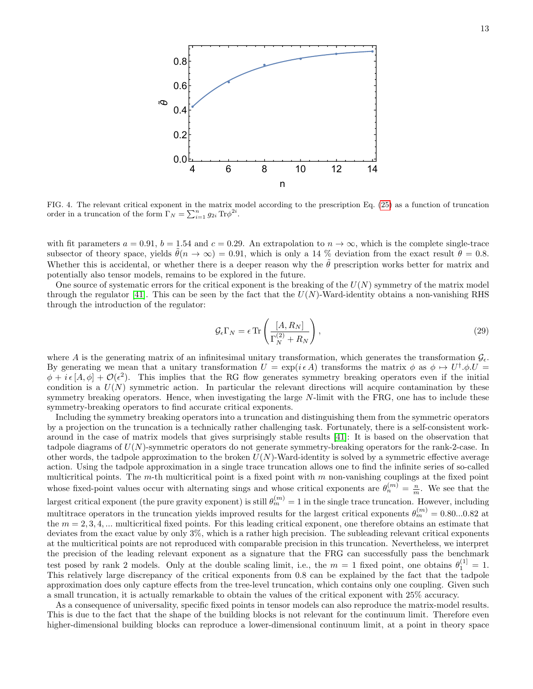

<span id="page-12-0"></span>FIG. 4. The relevant critical exponent in the matrix model according to the prescription Eq. [\(25\)](#page-11-1) as a function of truncation order in a truncation of the form  $\Gamma_N = \sum_{i=1}^n g_{2i} \text{Tr} \phi^{2i}$ .

with fit parameters  $a = 0.91$ ,  $b = 1.54$  and  $c = 0.29$ . An extrapolation to  $n \to \infty$ , which is the complete single-trace subsector of theory space, yields  $\ddot{\theta}(n \to \infty) = 0.91$ , which is only a 14 % deviation from the exact result  $\ddot{\theta} = 0.8$ . Whether this is accidental, or whether there is a deeper reason why the  $\tilde{\theta}$  prescription works better for matrix and potentially also tensor models, remains to be explored in the future.

One source of systematic errors for the critical exponent is the breaking of the  $U(N)$  symmetry of the matrix model through the regulator [\[41\]](#page-26-16). This can be seen by the fact that the  $U(N)$ -Ward-identity obtains a non-vanishing RHS through the introduction of the regulator:

$$
\mathcal{G}_{\epsilon} \Gamma_N = \epsilon \operatorname{Tr} \left( \frac{[A, R_N]}{\Gamma_N^{(2)} + R_N} \right),\tag{29}
$$

where A is the generating matrix of an infinitesimal unitary transformation, which generates the transformation  $\mathcal{G}_{\epsilon}$ . By generating we mean that a unitary transformation  $U = \exp(i \epsilon A)$  transforms the matrix  $\phi$  as  $\phi \mapsto U^{\dagger} \phi$ .  $\phi + i \epsilon [A, \phi] + \mathcal{O}(\epsilon^2)$ . This implies that the RG flow generates symmetry breaking operators even if the initial condition is a  $U(N)$  symmetric action. In particular the relevant directions will acquire contamination by these symmetry breaking operators. Hence, when investigating the large N-limit with the FRG, one has to include these symmetry-breaking operators to find accurate critical exponents.

Including the symmetry breaking operators into a truncation and distinguishing them from the symmetric operators by a projection on the truncation is a technically rather challenging task. Fortunately, there is a self-consistent workaround in the case of matrix models that gives surprisingly stable results [\[41\]](#page-26-16): It is based on the observation that tadpole diagrams of  $U(N)$ -symmetric operators do not generate symmetry-breaking operators for the rank-2-case. In other words, the tadpole approximation to the broken  $U(N)$ -Ward-identity is solved by a symmetric effective average action. Using the tadpole approximation in a single trace truncation allows one to find the infinite series of so-called multicritical points. The m-th multicritical point is a fixed point with  $m$  non-vanishing couplings at the fixed point whose fixed-point values occur with alternating sings and whose critical exponents are  $\theta_n^{(m)} = \frac{n}{m}$ . We see that the largest critical exponent (the pure gravity exponent) is still  $\theta_m^{(m)} = 1$  in the single trace truncation. However, including multitrace operators in the truncation yields improved results for the largest critical exponents  $\theta_m^{(m)} = 0.80...0.82$  at the  $m = 2, 3, 4, \dots$  multicritical fixed points. For this leading critical exponent, one therefore obtains an estimate that deviates from the exact value by only 3%, which is a rather high precision. The subleading relevant critical exponents at the multicritical points are not reproduced with comparable precision in this truncation. Nevertheless, we interpret the precision of the leading relevant exponent as a signature that the FRG can successfully pass the benchmark test posed by rank 2 models. Only at the double scaling limit, i.e., the  $m = 1$  fixed point, one obtains  $\theta_1^{(1)} = 1$ . This relatively large discrepancy of the critical exponents from 0.8 can be explained by the fact that the tadpole approximation does only capture effects from the tree-level truncation, which contains only one coupling. Given such a small truncation, it is actually remarkable to obtain the values of the critical exponent with 25% accuracy.

As a consequence of universality, specific fixed points in tensor models can also reproduce the matrix-model results. This is due to the fact that the shape of the building blocks is not relevant for the continuum limit. Therefore even higher-dimensional building blocks can reproduce a lower-dimensional continuum limit, at a point in theory space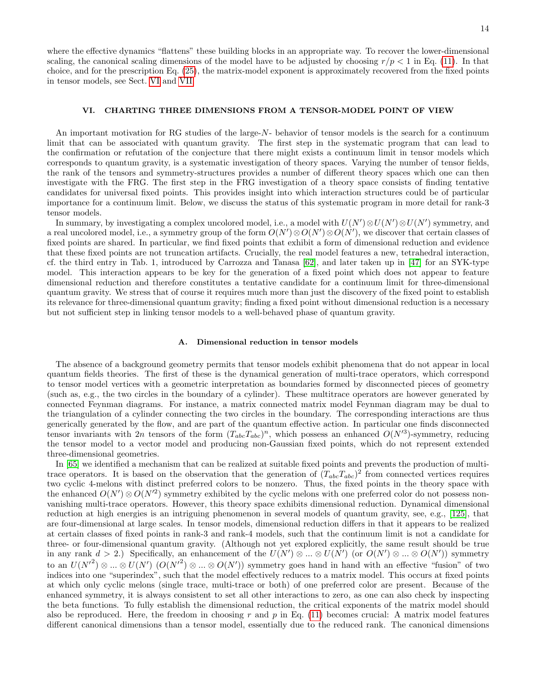where the effective dynamics "flattens" these building blocks in an appropriate way. To recover the lower-dimensional scaling, the canonical scaling dimensions of the model have to be adjusted by choosing  $r/p < 1$  in Eq. [\(11\)](#page-7-1). In that choice, and for the prescription Eq. [\(25\)](#page-11-1), the matrix-model exponent is approximately recovered from the fixed points in tensor models, see Sect. [VI](#page-13-0) and [VII.](#page-15-0)

### <span id="page-13-0"></span>VI. CHARTING THREE DIMENSIONS FROM A TENSOR-MODEL POINT OF VIEW

An important motivation for RG studies of the large-N- behavior of tensor models is the search for a continuum limit that can be associated with quantum gravity. The first step in the systematic program that can lead to the confirmation or refutation of the conjecture that there might exists a continuum limit in tensor models which corresponds to quantum gravity, is a systematic investigation of theory spaces. Varying the number of tensor fields, the rank of the tensors and symmetry-structures provides a number of different theory spaces which one can then investigate with the FRG. The first step in the FRG investigation of a theory space consists of finding tentative candidates for universal fixed points. This provides insight into which interaction structures could be of particular importance for a continuum limit. Below, we discuss the status of this systematic program in more detail for rank-3 tensor models.

In summary, by investigating a complex uncolored model, i.e., a model with  $U(N')\otimes U(N')\otimes U(N')$  symmetry, and a real uncolored model, i.e., a symmetry group of the form  $O(N')\otimes O(N')\otimes O(N')$ , we discover that certain classes of fixed points are shared. In particular, we find fixed points that exhibit a form of dimensional reduction and evidence that these fixed points are not truncation artifacts. Crucially, the real model features a new, tetrahedral interaction, cf. the third entry in Tab. 1, introduced by Carrozza and Tanasa [\[62\]](#page-26-13), and later taken up in [\[47\]](#page-26-38) for an SYK-type model. This interaction appears to be key for the generation of a fixed point which does not appear to feature dimensional reduction and therefore constitutes a tentative candidate for a continuum limit for three-dimensional quantum gravity. We stress that of course it requires much more than just the discovery of the fixed point to establish its relevance for three-dimensional quantum gravity; finding a fixed point without dimensional reduction is a necessary but not sufficient step in linking tensor models to a well-behaved phase of quantum gravity.

#### A. Dimensional reduction in tensor models

The absence of a background geometry permits that tensor models exhibit phenomena that do not appear in local quantum fields theories. The first of these is the dynamical generation of multi-trace operators, which correspond to tensor model vertices with a geometric interpretation as boundaries formed by disconnected pieces of geometry (such as, e.g., the two circles in the boundary of a cylinder). These multitrace operators are however generated by connected Feynman diagrams. For instance, a matrix connected matrix model Feynman diagram may be dual to the triangulation of a cylinder connecting the two circles in the boundary. The corresponding interactions are thus generically generated by the flow, and are part of the quantum effective action. In particular one finds disconnected tensor invariants with 2n tensors of the form  $(T_{abc}T_{abc})^n$ , which possess an enhanced  $O(N^3)$ -symmetry, reducing the tensor model to a vector model and producing non-Gaussian fixed points, which do not represent extended three-dimensional geometries.

In [\[65\]](#page-26-18) we identified a mechanism that can be realized at suitable fixed points and prevents the production of multitrace operators. It is based on the observation that the generation of  $(T_{abc}T_{abc})^2$  from connected vertices requires two cyclic 4-melons with distinct preferred colors to be nonzero. Thus, the fixed points in the theory space with the enhanced  $O(N')\otimes O(N'^2)$  symmetry exhibited by the cyclic melons with one preferred color do not possess nonvanishing multi-trace operators. However, this theory space exhibits dimensional reduction. Dynamical dimensional reduction at high energies is an intriguing phenomenon in several models of quantum gravity, see, e.g., [\[125\]](#page-27-21), that are four-dimensional at large scales. In tensor models, dimensional reduction differs in that it appears to be realized at certain classes of fixed points in rank-3 and rank-4 models, such that the continuum limit is not a candidate for three- or four-dimensional quantum gravity. (Although not yet explored explicitly, the same result should be true in any rank  $d > 2$ .) Specifically, an enhancement of the  $U(N') \otimes ... \otimes U(N')$  (or  $O(N') \otimes ... \otimes O(N')$ ) symmetry to an  $U(N^2) \otimes ... \otimes U(N')$   $(O(N^2) \otimes ... \otimes O(N'))$  symmetry goes hand in hand with an effective "fusion" of two indices into one "superindex", such that the model effectively reduces to a matrix model. This occurs at fixed points at which only cyclic melons (single trace, multi-trace or both) of one preferred color are present. Because of the enhanced symmetry, it is always consistent to set all other interactions to zero, as one can also check by inspecting the beta functions. To fully establish the dimensional reduction, the critical exponents of the matrix model should also be reproduced. Here, the freedom in choosing r and p in Eq.  $(11)$  becomes crucial: A matrix model features different canonical dimensions than a tensor model, essentially due to the reduced rank. The canonical dimensions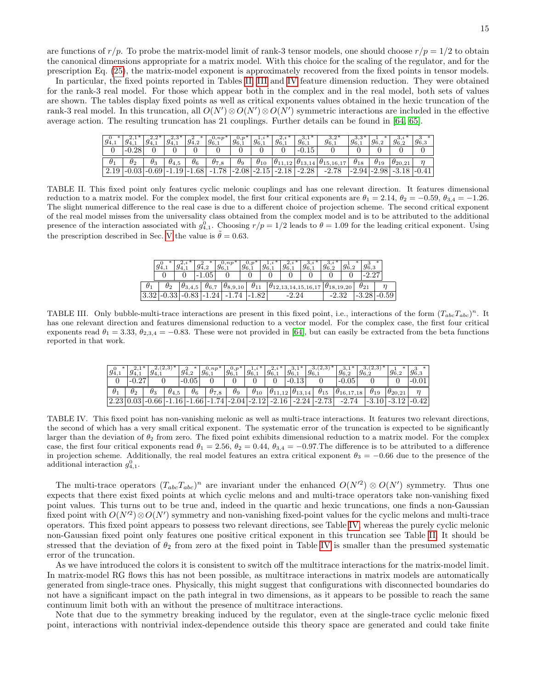are functions of  $r/p$ . To probe the matrix-model limit of rank-3 tensor models, one should choose  $r/p = 1/2$  to obtain the canonical dimensions appropriate for a matrix model. With this choice for the scaling of the regulator, and for the prescription Eq. [\(25\)](#page-11-1), the matrix-model exponent is approximately recovered from the fixed points in tensor models.

In particular, the fixed points reported in Tables [II,](#page-14-0) [III](#page-14-1) and [IV](#page-14-2) feature dimension reduction. They were obtained for the rank-3 real model. For those which appear both in the complex and in the real model, both sets of values are shown. The tables display fixed points as well as critical exponents values obtained in the hexic truncation of the rank-3 real model. In this truncation, all  $O(N')\otimes O(N')\otimes O(N')$  symmetric interactions are included in the effective average action. The resulting truncation has 21 couplings. Further details can be found in [\[64,](#page-26-17) [65\]](#page-26-18).

| $g_{4,1}^0$ |   | $-4.1$     | ن, ∠_<br>194.  | 94,2 | $g_{6,1}^{0,np}$ | 96.1  | д.,<br>$1g_{6,1}$ | <u>.</u><br>96.1 | $g_{6,1}^3$      | ے د<br>$g_{6.1}$       | $g_{6,1}^{3,3}$ | $g_{6,2}$     | o.<br>96.2       | $g_{6,3}$ |
|-------------|---|------------|----------------|------|------------------|-------|-------------------|------------------|------------------|------------------------|-----------------|---------------|------------------|-----------|
|             | - |            |                |      |                  |       |                   |                  |                  |                        |                 |               |                  |           |
| $\theta_1$  |   | $\theta_3$ | $\sigma_{4.5}$ |      | σ7<br>7.8        | U9    | $\theta_{10}$     | $\theta_{11,12}$ | $\theta_{13,14}$ | $ \theta_{15,16,17}\>$ | $\sigma_{18}$   | $\sigma_{19}$ | $\sigma_{20.21}$ |           |
| 2.19        |   | 0.69       |                | 1.00 | 78               | -2.08 | $-2^{-}$          |                  | $-2.28$          | റ                      |                 |               |                  |           |
|             |   |            |                |      |                  |       |                   |                  |                  |                        |                 |               |                  |           |

<span id="page-14-0"></span>TABLE II. This fixed point only features cyclic melonic couplings and has one relevant direction. It features dimensional reduction to a matrix model. For the complex model, the first four critical exponents are  $\theta_1 = 2.14$ ,  $\theta_2 = -0.59$ ,  $\theta_{3,4} = -1.26$ . The slight numerical difference to the real case is due to a different choice of projection scheme. The second critical exponent of the real model misses from the universality class obtained from the complex model and is to be attributed to the additional presence of the interaction associated with  $g_{4,1}^0$ . Choosing  $r/p = 1/2$  leads to  $\theta = 1.09$  for the leading critical exponent. Using the prescription described in Sec. [V](#page-11-0) the value is  $\ddot{\theta} = 0.63$ .

|          |            |                  |          | $\omega$ , $np$   |  |                                                  |  |               | ж |
|----------|------------|------------------|----------|-------------------|--|--------------------------------------------------|--|---------------|---|
|          |            |                  | U5       |                   |  |                                                  |  |               |   |
|          | $\sigma_2$ | $\theta_{3,4,5}$ | $He$ $=$ | $\theta_{8,9,10}$ |  | $\theta_{12,13,14,15,16,17}$ $\theta_{18,19,20}$ |  | $\theta_{21}$ |   |
| $\Omega$ |            |                  |          |                   |  |                                                  |  |               |   |

<span id="page-14-1"></span>TABLE III. Only bubble-multi-trace interactions are present in this fixed point, i.e., interactions of the form  $(T_{abc}T_{abc})^n$ . It has one relevant direction and features dimensional reduction to a vector model. For the complex case, the first four critical exponents read  $\theta_1 = 3.33$ ,  $\theta_{2,3,4} = -0.83$ . These were not provided in [\[64\]](#page-26-17), but can easily be extracted from the beta functions reported in that work.

| $g_{4,1}$  | - 4.1      | 94.1       |                | $g_{4,2}^*$                                       | $\cup$ ,np*<br>$g_{6.1}$         | $0, p$ *<br>$g_{6.1}$ | $19_{6,1}$    | 4.1<br>$g_{6.1}^{-}$ | o,<br>96.1       | <br>$g_{6,1}$ | o.<br>$g_{6,2}$     | ο,<br>96.2    | 96.2             | *<br>96,3 |
|------------|------------|------------|----------------|---------------------------------------------------|----------------------------------|-----------------------|---------------|----------------------|------------------|---------------|---------------------|---------------|------------------|-----------|
|            |            |            |                | $-0.05$                                           |                                  |                       |               |                      |                  |               | $-0.05$             |               |                  |           |
| $\theta_1$ | $\theta_2$ | $\theta_3$ | $\sigma_{4.5}$ | $\sigma_6$                                        | $\sigma_{7,8}$                   | $\theta_9$            | $\theta_{10}$ | $ \theta_{11,12} $   | $\theta_{13,14}$ | $\theta_{15}$ | $\theta_{16,17,18}$ | $\theta_{19}$ | $\theta_{20.21}$ |           |
| 2.23       |            | 0.66       |                | .66'<br>$\mathcal{F}$ $\mathcal{L}$ $\mathcal{L}$ | 1.74<br>$\overline{\phantom{0}}$ | $^{\circ}$ -2.04      | $-2.12$       | $\cdot 2.16$<br>റ    | $-2.24$          | $-2.73$       |                     |               |                  | 421       |

<span id="page-14-2"></span>TABLE IV. This fixed point has non-vanishing melonic as well as multi-trace interactions. It features two relevant directions, the second of which has a very small critical exponent. The systematic error of the truncation is expected to be significantly larger than the deviation of  $\theta_2$  from zero. The fixed point exhibits dimensional reduction to a matrix model. For the complex case, the first four critical exponents read  $\theta_1 = 2.56$ ,  $\theta_2 = 0.44$ ,  $\theta_{3.4} = -0.97$ . The difference is to be attributed to a difference in projection scheme. Additionally, the real model features an extra critical exponent  $\theta_3 = -0.66$  due to the presence of the additional interaction  $g_{4,1}^0$ .

The multi-trace operators  $(T_{abc}T_{abc})^n$  are invariant under the enhanced  $O(N^2) \otimes O(N^2)$  symmetry. Thus one expects that there exist fixed points at which cyclic melons and and multi-trace operators take non-vanishing fixed point values. This turns out to be true and, indeed in the quartic and hexic truncations, one finds a non-Gaussian fixed point with  $O(N^2) \otimes O(N')$  symmetry and non-vanishing fixed-point values for the cyclic melons and multi-trace operators. This fixed point appears to possess two relevant directions, see Table [IV,](#page-14-2) whereas the purely cyclic melonic non-Gaussian fixed point only features one positive critical exponent in this truncation see Table [II.](#page-14-0) It should be stressed that the deviation of  $\theta_2$  from zero at the fixed point in Table [IV](#page-14-2) is smaller than the presumed systematic error of the truncation.

As we have introduced the colors it is consistent to switch off the multitrace interactions for the matrix-model limit. In matrix-model RG flows this has not been possible, as multitrace interactions in matrix models are automatically generated from single-trace ones. Physically, this might suggest that configurations with disconnected boundaries do not have a significant impact on the path integral in two dimensions, as it appears to be possible to reach the same continuum limit both with an without the presence of multitrace interactions.

Note that due to the symmetry breaking induced by the regulator, even at the single-trace cyclic melonic fixed point, interactions with nontrivial index-dependence outside this theory space are generated and could take finite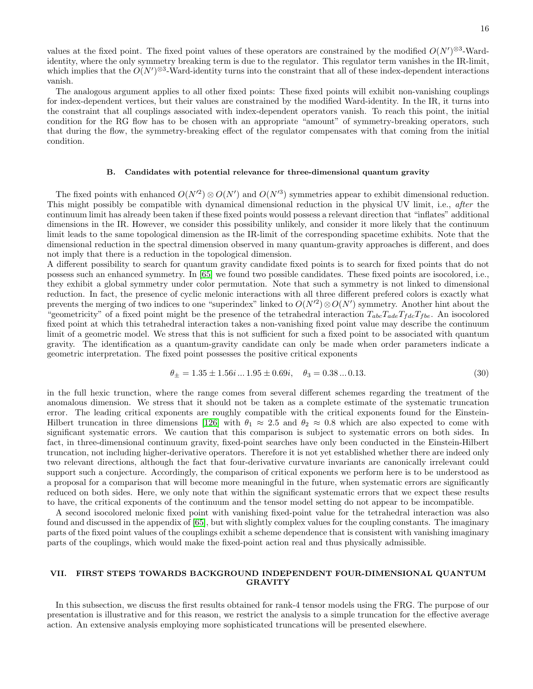The analogous argument applies to all other fixed points: These fixed points will exhibit non-vanishing couplings for index-dependent vertices, but their values are constrained by the modified Ward-identity. In the IR, it turns into the constraint that all couplings associated with index-dependent operators vanish. To reach this point, the initial condition for the RG flow has to be chosen with an appropriate "amount" of symmetry-breaking operators, such that during the flow, the symmetry-breaking effect of the regulator compensates with that coming from the initial condition.

### B. Candidates with potential relevance for three-dimensional quantum gravity

The fixed points with enhanced  $O(N^2) \otimes O(N')$  and  $O(N^3)$  symmetries appear to exhibit dimensional reduction. This might possibly be compatible with dynamical dimensional reduction in the physical UV limit, i.e., after the continuum limit has already been taken if these fixed points would possess a relevant direction that "inflates" additional dimensions in the IR. However, we consider this possibility unlikely, and consider it more likely that the continuum limit leads to the same topological dimension as the IR-limit of the corresponding spacetime exhibits. Note that the dimensional reduction in the spectral dimension observed in many quantum-gravity approaches is different, and does not imply that there is a reduction in the topological dimension.

A different possibility to search for quantum gravity candidate fixed points is to search for fixed points that do not possess such an enhanced symmetry. In [\[65\]](#page-26-18) we found two possible candidates. These fixed points are isocolored, i.e., they exhibit a global symmetry under color permutation. Note that such a symmetry is not linked to dimensional reduction. In fact, the presence of cyclic melonic interactions with all three different prefered colors is exactly what prevents the merging of two indices to one "superindex" linked to  $O(N^2) \otimes O(N^2)$  symmetry. Another hint about the "geometricity" of a fixed point might be the presence of the tetrahedral interaction  $T_{abc}T_{dde}T_{fdc}T_{fbe}$ . An isocolored fixed point at which this tetrahedral interaction takes a non-vanishing fixed point value may describe the continuum limit of a geometric model. We stress that this is not sufficient for such a fixed point to be associated with quantum gravity. The identification as a quantum-gravity candidate can only be made when order parameters indicate a geometric interpretation. The fixed point possesses the positive critical exponents

$$
\theta_{\pm} = 1.35 \pm 1.56i \dots 1.95 \pm 0.69i, \quad \theta_3 = 0.38 \dots 0.13. \tag{30}
$$

in the full hexic trunction, where the range comes from several different schemes regarding the treatment of the anomalous dimension. We stress that it should not be taken as a complete estimate of the systematic truncation error. The leading critical exponents are roughly compatible with the critical exponents found for the Einstein-Hilbert truncation in three dimensions [\[126\]](#page-27-22) with  $\theta_1 \approx 2.5$  and  $\theta_2 \approx 0.8$  which are also expected to come with significant systematic errors. We caution that this comparison is subject to systematic errors on both sides. In fact, in three-dimensional continuum gravity, fixed-point searches have only been conducted in the Einstein-Hilbert truncation, not including higher-derivative operators. Therefore it is not yet established whether there are indeed only two relevant directions, although the fact that four-derivative curvature invariants are canonically irrelevant could support such a conjecture. Accordingly, the comparison of critical exponents we perform here is to be understood as a proposal for a comparison that will become more meaningful in the future, when systematic errors are significantly reduced on both sides. Here, we only note that within the significant systematic errors that we expect these results to have, the critical exponents of the continuum and the tensor model setting do not appear to be incompatible.

A second isocolored melonic fixed point with vanishing fixed-point value for the tetrahedral interaction was also found and discussed in the appendix of [\[65\]](#page-26-18), but with slightly complex values for the coupling constants. The imaginary parts of the fixed point values of the couplings exhibit a scheme dependence that is consistent with vanishing imaginary parts of the couplings, which would make the fixed-point action real and thus physically admissible.

# <span id="page-15-0"></span>VII. FIRST STEPS TOWARDS BACKGROUND INDEPENDENT FOUR-DIMENSIONAL QUANTUM GRAVITY

In this subsection, we discuss the first results obtained for rank-4 tensor models using the FRG. The purpose of our presentation is illustrative and for this reason, we restrict the analysis to a simple truncation for the effective average action. An extensive analysis employing more sophisticated truncations will be presented elsewhere.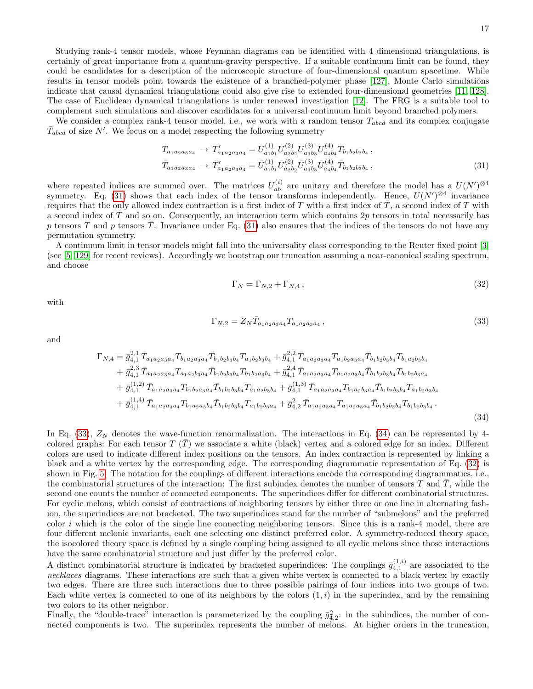Studying rank-4 tensor models, whose Feynman diagrams can be identified with 4 dimensional triangulations, is certainly of great importance from a quantum-gravity perspective. If a suitable continuum limit can be found, they could be candidates for a description of the microscopic structure of four-dimensional quantum spacetime. While results in tensor models point towards the existence of a branched-polymer phase [\[127\]](#page-27-23), Monte Carlo simulations indicate that causal dynamical triangulations could also give rise to extended four-dimensional geometries [\[11,](#page-25-7) [128\]](#page-27-24). The case of Euclidean dynamical triangulations is under renewed investigation [\[12\]](#page-25-12). The FRG is a suitable tool to complement such simulations and discover candidates for a universal continuum limit beyond branched polymers.

We consider a complex rank-4 tensor model, i.e., we work with a random tensor  $T_{abcd}$  and its complex conjugate  $\bar{T}_{abcd}$  of size N'. We focus on a model respecting the following symmetry

<span id="page-16-0"></span>
$$
T_{a_1 a_2 a_3 a_4} \rightarrow T'_{a_1 a_2 a_3 a_4} = U_{a_1 b_1}^{(1)} U_{a_2 b_2}^{(2)} U_{a_3 b_3}^{(3)} U_{a_4 b_4}^{(4)} T_{b_1 b_2 b_3 b_4} ,
$$
  
\n
$$
\bar{T}_{a_1 a_2 a_3 a_4} \rightarrow \bar{T}'_{a_1 a_2 a_3 a_4} = \bar{U}_{a_1 b_1}^{(1)} \bar{U}_{a_2 b_2}^{(2)} \bar{U}_{a_3 b_3}^{(3)} \bar{U}_{a_4 b_4}^{(4)} \bar{T}_{b_1 b_2 b_3 b_4} ,
$$
\n(31)

where repeated indices are summed over. The matrices  $U_{ab}^{(i)}$  are unitary and therefore the model has a  $U(N')^{\otimes 4}$ symmetry. Eq. [\(31\)](#page-16-0) shows that each index of the tensor transforms independently. Hence,  $U(N')^{\otimes 4}$  invariance requires that the only allowed index contraction is a first index of T with a first index of  $\overline{T}$ , a second index of T with a second index of  $T$  and so on. Consequently, an interaction term which contains  $2p$  tensors in total necessarily has p tensors T and p tensors T. Invariance under Eq. [\(31\)](#page-16-0) also ensures that the indices of the tensors do not have any permutation symmetry.

A continuum limit in tensor models might fall into the universality class corresponding to the Reuter fixed point [\[3\]](#page-25-10) (see [\[5,](#page-25-9) [129\]](#page-27-25) for recent reviews). Accordingly we bootstrap our truncation assuming a near-canonical scaling spectrum, and choose

<span id="page-16-3"></span>
$$
\Gamma_N = \Gamma_{N,2} + \Gamma_{N,4},\tag{32}
$$

with

<span id="page-16-1"></span>
$$
\Gamma_{N,2} = Z_N \bar{T}_{a_1 a_2 a_3 a_4} T_{a_1 a_2 a_3 a_4} \,, \tag{33}
$$

and

<span id="page-16-2"></span>
$$
\Gamma_{N,4} = \bar{g}_{4,1}^{2,1} \bar{T}_{a_1 a_2 a_3 a_4} T_{b_1 a_2 a_3 a_4} \bar{T}_{b_1 b_2 b_3 b_4} T_{a_1 b_2 b_3 b_4} + \bar{g}_{4,1}^{2,2} \bar{T}_{a_1 a_2 a_3 a_4} T_{a_1 b_2 a_3 a_4} \bar{T}_{b_1 b_2 b_3 b_4} T_{b_1 a_2 b_3 b_4}
$$
\n
$$
+ \bar{g}_{4,1}^{2,3} \bar{T}_{a_1 a_2 a_3 a_4} T_{a_1 a_2 b_3 a_4} \bar{T}_{b_1 b_2 b_3 b_4} T_{b_1 b_2 a_3 b_4} + \bar{g}_{4,1}^{2,4} \bar{T}_{a_1 a_2 a_3 a_4} T_{a_1 a_2 a_3 b_4} \bar{T}_{b_1 b_2 b_3 b_4} T_{b_1 b_2 b_3 a_4}
$$
\n
$$
+ \bar{g}_{4,1}^{(1,2)} \bar{T}_{a_1 a_2 a_3 a_4} T_{b_1 b_2 a_3 a_4} \bar{T}_{b_1 b_2 b_3 b_4} T_{a_1 a_2 b_3 b_4} + \bar{g}_{4,1}^{(1,3)} \bar{T}_{a_1 a_2 a_3 a_4} T_{b_1 a_2 b_3 a_4} \bar{T}_{b_1 b_2 b_3 b_4} T_{a_1 b_2 a_3 b_4}
$$
\n
$$
+ \bar{g}_{4,1}^{(1,4)} \bar{T}_{a_1 a_2 a_3 a_4} T_{b_1 a_2 a_3 b_4} \bar{T}_{b_1 b_2 b_3 b_4} T_{a_1 b_2 b_3 a_4} + \bar{g}_{4,2}^2 \bar{T}_{a_1 a_2 a_3 a_4} T_{a_1 a_2 a_3 a_4} \bar{T}_{b_1 b_2 b_3 b_4} T_{b_1 b_2 b_3 b_4}.
$$
\n(34)

In Eq. [\(33\)](#page-16-1),  $Z_N$  denotes the wave-function renormalization. The interactions in Eq. [\(34\)](#page-16-2) can be represented by 4colored graphs: For each tensor  $T(\overline{T})$  we associate a white (black) vertex and a colored edge for an index. Different colors are used to indicate different index positions on the tensors. An index contraction is represented by linking a black and a white vertex by the corresponding edge. The corresponding diagrammatic representation of Eq. [\(32\)](#page-16-3) is shown in Fig. [5.](#page-17-0) The notation for the couplings of different interactions encode the corresponding diagrammatics, i.e., the combinatorial structures of the interaction: The first subindex denotes the number of tensors  $T$  and  $\overline{T}$ , while the second one counts the number of connected components. The superindices differ for different combinatorial structures. For cyclic melons, which consist of contractions of neighboring tensors by either three or one line in alternating fashion, the superindices are not bracketed. The two superindices stand for the number of "submelons" and the preferred color i which is the color of the single line connecting neighboring tensors. Since this is a rank-4 model, there are four different melonic invariants, each one selecting one distinct preferred color. A symmetry-reduced theory space, the isocolored theory space is defined by a single coupling being assigned to all cyclic melons since those interactions have the same combinatorial structure and just differ by the preferred color.

A distinct combinatorial structure is indicated by bracketed superindices: The couplings  $\bar{g}_{4,1}^{(1,i)}$  are associated to the necklaces diagrams. These interactions are such that a given white vertex is connected to a black vertex by exactly two edges. There are three such interactions due to three possible pairings of four indices into two groups of two. Each white vertex is connected to one of its neighbors by the colors  $(1, i)$  in the superindex, and by the remaining two colors to its other neighbor.

Finally, the "double-trace" interaction is parameterized by the coupling  $\bar{g}_{4,2}^2$ : in the subindices, the number of connected components is two. The superindex represents the number of melons. At higher orders in the truncation,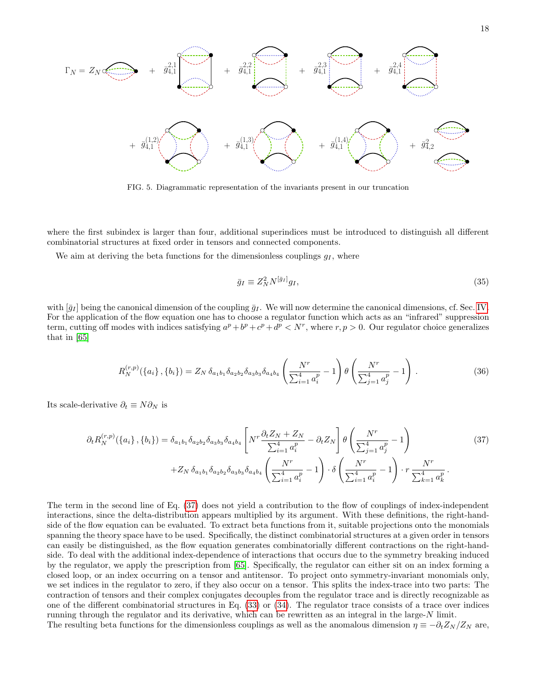$$
\Gamma_N = Z_N \Longleftrightarrow + \overline{g}_{4,1}^{2,1} \longrightarrow + \overline{g}_{4,1}^{2,2} \longrightarrow + \overline{g}_{4,1}^{2,3} \longrightarrow + \overline{g}_{4,1}^{2,4} \longrightarrow + \overline{g}_{4,1}^{2,4} \longrightarrow + \overline{g}_{4,1}^{2,4} \longrightarrow + \overline{g}_{4,2}^{2,4} \longrightarrow + \overline{g}_{4,2}^{2,4} \longrightarrow + \overline{g}_{4,2}^{2,4} \longrightarrow + \overline{g}_{4,2}^{2,4} \longrightarrow + \overline{g}_{4,2}^{2,4} \longrightarrow + \overline{g}_{4,2}^{2,4} \longrightarrow + \overline{g}_{4,2}^{2,4} \longrightarrow + \overline{g}_{4,2}^{2,4} \longrightarrow + \overline{g}_{4,2}^{2,4} \longrightarrow + \overline{g}_{4,2}^{2,4} \longrightarrow + \overline{g}_{4,2}^{2,4} \longrightarrow + \overline{g}_{4,2}^{2,4} \longrightarrow + \overline{g}_{4,2}^{2,4} \longrightarrow + \overline{g}_{4,2}^{2,4} \longrightarrow + \overline{g}_{4,2}^{2,4} \longrightarrow + \overline{g}_{4,2}^{2,4} \longrightarrow + \overline{g}_{4,2}^{2,4} \longrightarrow + \overline{g}_{4,2}^{2,4} \longrightarrow + \overline{g}_{4,2}^{2,4} \longrightarrow + \overline{g}_{4,2}^{2,4} \longrightarrow + \overline{g}_{4,2}^{2,4} \longrightarrow + \overline{g}_{4,2}^{2,4} \longrightarrow + \overline{g}_{4,2}^{2,4} \longrightarrow + \overline{g}_{4,2}^{2,4} \longrightarrow + \overline{g}_{4,2}^{2,4} \longrightarrow + \overline{g}_{4,2}^{2,4} \longrightarrow + \overline{g}_{4,2}^{2,4} \longrightarrow + \overline{g}_{4,2}^{2,4} \longrightarrow + \overline{g}_{4,2}^{2,4} \longrightarrow + \overline{g}_{4,2}^{2,4} \longrightarrow + \overline{g}_{4,2}^{2,4} \longrightarrow + \overline{g}_{4,2}^{2,4} \longrightarrow + \overline{g}_{4,2}^{2,4} \longrightarrow + \overline{g}_{4,2}^{2,4} \longrightarrow + \overline{g}_{4,2}^{2,4} \longrightarrow + \overline{g}_{4,2}^{2
$$

<span id="page-17-0"></span>FIG. 5. Diagrammatic representation of the invariants present in our truncation

where the first subindex is larger than four, additional superindices must be introduced to distinguish all different combinatorial structures at fixed order in tensors and connected components.

We aim at deriving the beta functions for the dimensionless couplings  $g_I$ , where

$$
\bar{g}_I \equiv Z_N^2 N^{[\bar{g}_I]} g_I,\tag{35}
$$

with  $[\bar{g}_I]$  being the canonical dimension of the coupling  $\bar{g}_I$ . We will now determine the canonical dimensions, cf. Sec. [IV.](#page-9-0) For the application of the flow equation one has to choose a regulator function which acts as an "infrared" suppression term, cutting off modes with indices satisfying  $a^p + b^p + c^p + d^p < N^r$ , where  $r, p > 0$ . Our regulator choice generalizes that in [\[65\]](#page-26-18)

<span id="page-17-2"></span>
$$
R_N^{(r,p)}(\{a_i\},\{b_i\}) = Z_N \,\delta_{a_1b_1}\delta_{a_2b_2}\delta_{a_3b_3}\delta_{a_4b_4}\left(\frac{N^r}{\sum_{i=1}^4 a_i^p} - 1\right)\theta\left(\frac{N^r}{\sum_{j=1}^4 a_j^p} - 1\right). \tag{36}
$$

Its scale-derivative  $\partial_t \equiv N \partial_N$  is

<span id="page-17-1"></span>
$$
\partial_{t} R_{N}^{(r,p)}(\{a_{i}\},\{b_{i}\}) = \delta_{a_{1}b_{1}} \delta_{a_{2}b_{2}} \delta_{a_{3}b_{3}} \delta_{a_{4}b_{4}} \left[ N^{r} \frac{\partial_{t} Z_{N} + Z_{N}}{\sum_{i=1}^{4} a_{i}^{p}} - \partial_{t} Z_{N} \right] \theta \left( \frac{N^{r}}{\sum_{j=1}^{4} a_{j}^{p}} - 1 \right) \tag{37}
$$
\n
$$
+ Z_{N} \delta_{a_{1}b_{1}} \delta_{a_{2}b_{2}} \delta_{a_{3}b_{3}} \delta_{a_{4}b_{4}} \left( \frac{N^{r}}{\sum_{i=1}^{4} a_{i}^{p}} - 1 \right) \cdot \delta \left( \frac{N^{r}}{\sum_{i=1}^{4} a_{i}^{p}} - 1 \right) \cdot r \frac{N^{r}}{\sum_{k=1}^{4} a_{k}^{p}}.
$$

The term in the second line of Eq. [\(37\)](#page-17-1) does not yield a contribution to the flow of couplings of index-independent interactions, since the delta-distribution appears multiplied by its argument. With these definitions, the right-handside of the flow equation can be evaluated. To extract beta functions from it, suitable projections onto the monomials spanning the theory space have to be used. Specifically, the distinct combinatorial structures at a given order in tensors can easily be distinguished, as the flow equation generates combinatorially different contractions on the right-handside. To deal with the additional index-dependence of interactions that occurs due to the symmetry breaking induced by the regulator, we apply the prescription from [\[65\]](#page-26-18). Specifically, the regulator can either sit on an index forming a closed loop, or an index occurring on a tensor and antitensor. To project onto symmetry-invariant monomials only, we set indices in the regulator to zero, if they also occur on a tensor. This splits the index-trace into two parts: The contraction of tensors and their complex conjugates decouples from the regulator trace and is directly recognizable as one of the different combinatorial structures in Eq. [\(33\)](#page-16-1) or [\(34\)](#page-16-2). The regulator trace consists of a trace over indices running through the regulator and its derivative, which can be rewritten as an integral in the large-N limit. The resulting beta functions for the dimensionless couplings as well as the anomalous dimension  $\eta \equiv -\partial_t Z_N/Z_N$  are,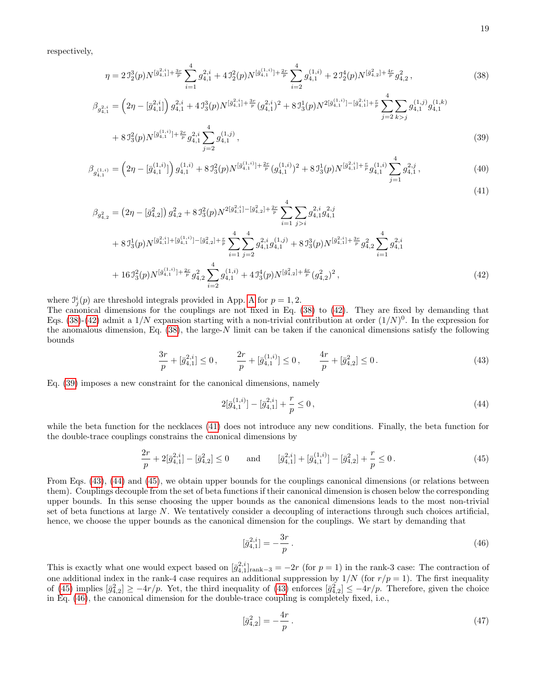respectively,

<span id="page-18-0"></span>
$$
\eta = 2\,\mathcal{I}_2^3(p) N^{[\bar{g}_{4,1}^{2,i}] + \frac{3r}{p}} \sum_{i=1}^4 g_{4,1}^{2,i} + 4\,\mathcal{I}_2^2(p) N^{[\bar{g}_{4,1}^{(1,i)}] + \frac{2r}{p}} \sum_{i=2}^4 g_{4,1}^{(1,i)} + 2\,\mathcal{I}_2^4(p) N^{[\bar{g}_{4,2}^{2}] + \frac{4r}{p}} g_{4,2}^2 \,, \tag{38}
$$

$$
\beta_{g_{4,1}^{2,i}} = \left(2\eta - \left[\bar{g}_{4,1}^{2,i}\right]\right) g_{4,1}^{2,i} + 4\,\mathcal{I}_3^3(p) N^{\left[\bar{g}_{4,1}^{2,i}\right] + \frac{3r}{p}} \left(g_{4,1}^{2,i}\right)^2 + 8\,\mathcal{I}_3^1(p) N^{2\left[\bar{g}_{4,1}^{(1,i)}\right] - \left[\bar{g}_{4,1}^{2,i}\right] + \frac{r}{p}} \sum_{j=2}^4 \sum_{k > j} g_{4,1}^{(1,j)} g_{4,1}^{(1,k)}
$$
\n
$$
+ 8\,\mathcal{I}_3^2(z_1) N^{\left[\bar{g}_{4,1}^{(1,i)}\right] + \frac{2r}{p}} \cdot 2, i \sum_{k=1}^4 \mathcal{I}_k^{(1,j)} \tag{20}
$$

$$
+ 8 J_3^2(p) N^{[\bar{g}_{4,1}^{(1,i)}] + \frac{2r}{p}} g_{4,1}^{2,i} \sum_{j=2} g_{4,1}^{(1,j)}, \tag{39}
$$

$$
\beta_{g_{4,1}^{(1,i)}} = \left(2\eta - \left[\bar{g}_{4,1}^{(1,i)}\right]\right) g_{4,1}^{(1,i)} + 8 J_3^2(p) N^{\left[\bar{g}_{4,1}^{(1,i)}\right] + \frac{2r}{p}} (g_{4,1}^{(1,i)})^2 + 8 J_3^1(p) N^{\left[\bar{g}_{4,1}^{(2,i)}\right] + \frac{r}{p}} g_{4,1}^{(1,i)} \sum_{j=1}^4 g_{4,1}^{2,j},\tag{40}
$$
\n
$$
(41)
$$

$$
\beta_{g_{4,2}^2} = (2\eta - [\bar{g}_{4,2}^2]) g_{4,2}^2 + 8 J_3^2(p) N^{2[\bar{g}_{4,1}^{2,i}] - [\bar{g}_{4,2}^2] + \frac{2r}{p}} \sum_{i=1}^4 \sum_{j>i} g_{4,1}^{2,i} g_{4,1}^{2,j}
$$
  
+ 8 J\_3^1(p) N^{[\bar{g}\_{4,1}^{2,i}] + [\bar{g}\_{4,1}^{(1,i)}] - [\bar{g}\_{4,2}^2] + \frac{r}{p}} \sum\_{i=1}^4 \sum\_{j=2}^4 g\_{4,1}^{2,i} g\_{4,1}^{(1,j)} + 8 J\_3^3(p) N^{[\bar{g}\_{4,1}^{2,i}] + \frac{3r}{p}} g\_{4,2}^2 \sum\_{i=1}^4 g\_{4,1}^{2,i}   
+ 16 J\_3^2(p) N^{[\bar{g}\_{4,1}^{(1,i)}] + \frac{2r}{p}} g\_{4,2}^2 \sum\_{i=2}^4 g\_{4,1}^{(1,i)} + 4 J\_3^4(p) N^{[\bar{g}\_{4,2}^{2}] + \frac{4r}{p}} (g\_{4,2}^2)^2,\n
$$
(42)
$$

where  $\mathcal{I}_j^i(p)$  are threshold integrals provided in [A](#page-25-13)pp. A for  $p=1,2$ .

The canonical dimensions for the couplings are not fixed in Eq. [\(38\)](#page-18-0) to [\(42\)](#page-18-0). They are fixed by demanding that Eqs. [\(38\)](#page-18-0)-[\(42\)](#page-18-0) admit a  $1/N$  expansion starting with a non-trivial contribution at order  $(1/N)^0$ . In the expression for the anomalous dimension, Eq. [\(38\)](#page-18-0), the large-N limit can be taken if the canonical dimensions satisfy the following bounds

<span id="page-18-1"></span>
$$
\frac{3r}{p} + [\bar{g}_{4,1}^{2,i}] \le 0, \qquad \frac{2r}{p} + [\bar{g}_{4,1}^{(1,i)}] \le 0, \qquad \frac{4r}{p} + [\bar{g}_{4,2}^{2}] \le 0.
$$
\n(43)

Eq. [\(39\)](#page-18-0) imposes a new constraint for the canonical dimensions, namely

<span id="page-18-2"></span>
$$
2[\bar{g}_{4,1}^{(1,i)}] - [\bar{g}_{4,1}^{2,i}] + \frac{r}{p} \le 0,
$$
\n(44)

while the beta function for the necklaces [\(41\)](#page-18-0) does not introduce any new conditions. Finally, the beta function for the double-trace couplings constrains the canonical dimensions by

<span id="page-18-3"></span>
$$
\frac{2r}{p} + 2[\bar{g}_{4,1}^{2,i}] - [\bar{g}_{4,2}^2] \le 0 \quad \text{and} \quad [\bar{g}_{4,1}^{2,i}] + [\bar{g}_{4,1}^{(1,i)}] - [\bar{g}_{4,2}^2] + \frac{r}{p} \le 0. \tag{45}
$$

From Eqs. [\(43\)](#page-18-1), [\(44\)](#page-18-2) and [\(45\)](#page-18-3), we obtain upper bounds for the couplings canonical dimensions (or relations between them). Couplings decouple from the set of beta functions if their canonical dimension is chosen below the corresponding upper bounds. In this sense choosing the upper bounds as the canonical dimensions leads to the most non-trivial set of beta functions at large N. We tentatively consider a decoupling of interactions through such choices artificial, hence, we choose the upper bounds as the canonical dimension for the couplings. We start by demanding that

<span id="page-18-4"></span>
$$
[\bar{g}_{4,1}^{2,i}] = -\frac{3r}{p} \,. \tag{46}
$$

This is exactly what one would expect based on  $[\bar{g}_{4,1}^{2,i}]_{\text{rank}-3} = -2r$  (for  $p=1$ ) in the rank-3 case: The contraction of one additional index in the rank-4 case requires an additional suppression by  $1/N$  (for  $r/p = 1$ ). The first inequality of [\(45\)](#page-18-3) implies  $[\bar{g}_{4,2}^2] \ge -4r/p$ . Yet, the third inequality of [\(43\)](#page-18-1) enforces  $[\bar{g}_{4,2}^2] \le -4r/p$ . Therefore, given the choice in Eq. [\(46\)](#page-18-4), the canonical dimension for the double-trace coupling is completely fixed, i.e.,

<span id="page-18-5"></span>
$$
[\bar{g}_{4,2}^2] = -\frac{4r}{p} \,. \tag{47}
$$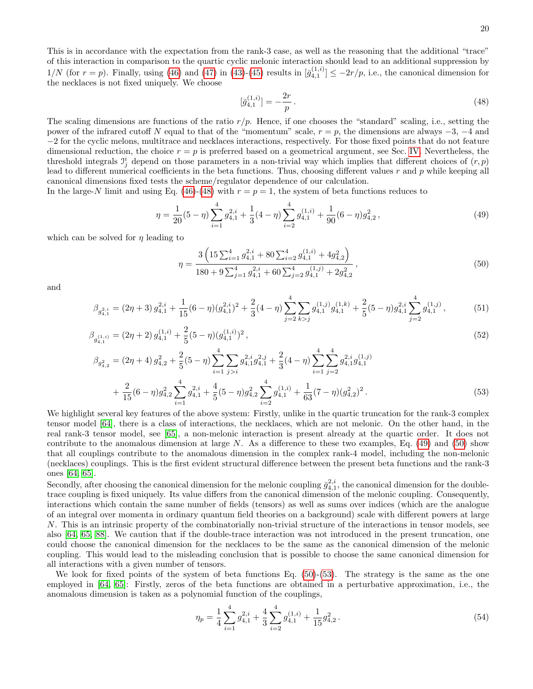This is in accordance with the expectation from the rank-3 case, as well as the reasoning that the additional "trace" of this interaction in comparison to the quartic cyclic melonic interaction should lead to an additional suppression by  $1/N$  (for  $r = p$ ). Finally, using [\(46\)](#page-18-4) and [\(47\)](#page-18-5) in [\(43\)](#page-18-1)-[\(45\)](#page-18-3) results in  $[\bar{g}_{4,1}^{(1,i)}] \le -2r/p$ , i.e., the canonical dimension for the necklaces is not fixed uniquely. We choose

<span id="page-19-0"></span>
$$
[\bar{g}_{4,1}^{(1,i)}] = -\frac{2r}{p} \,. \tag{48}
$$

The scaling dimensions are functions of the ratio  $r/p$ . Hence, if one chooses the "standard" scaling, i.e., setting the power of the infrared cutoff N equal to that of the "momentum" scale,  $r = p$ , the dimensions are always  $-3$ ,  $-4$  and −2 for the cyclic melons, multitrace and necklaces interactions, respectively. For those fixed points that do not feature dimensional reduction, the choice  $r = p$  is preferred based on a geometrical argument, see Sec. [IV.](#page-9-0) Nevertheless, the threshold integrals  $\mathcal{I}_j^i$  depend on those parameters in a non-trivial way which implies that different choices of  $(r, p)$ lead to different numerical coefficients in the beta functions. Thus, choosing different values  $r$  and  $p$  while keeping all canonical dimensions fixed tests the scheme/regulator dependence of our calculation.

In the large-N limit and using Eq. [\(46\)](#page-18-4)-[\(48\)](#page-19-0) with  $r = p = 1$ , the system of beta functions reduces to

<span id="page-19-1"></span>
$$
\eta = \frac{1}{20}(5-\eta)\sum_{i=1}^{4} g_{4,1}^{2,i} + \frac{1}{3}(4-\eta)\sum_{i=2}^{4} g_{4,1}^{(1,i)} + \frac{1}{90}(6-\eta)g_{4,2}^{2},\tag{49}
$$

which can be solved for  $\eta$  leading to

<span id="page-19-2"></span>
$$
\eta = \frac{3\left(15\sum_{i=1}^{4} g_{4,1}^{2,i} + 80\sum_{i=2}^{4} g_{4,1}^{(1,i)} + 4g_{4,2}^{2}\right)}{180 + 9\sum_{j=1}^{4} g_{4,1}^{2,i} + 60\sum_{j=2}^{4} g_{4,1}^{(1,j)} + 2g_{4,2}^{2}},
$$
\n
$$
(50)
$$

and

<span id="page-19-3"></span>
$$
\beta_{g_{4,1}^{2,i}} = (2\eta + 3) g_{4,1}^{2,i} + \frac{1}{15} (6 - \eta) (g_{4,1}^{2,i})^2 + \frac{2}{3} (4 - \eta) \sum_{j=2}^4 \sum_{k>j} g_{4,1}^{(1,j)} g_{4,1}^{(1,k)} + \frac{2}{5} (5 - \eta) g_{4,1}^{2,i} \sum_{j=2}^4 g_{4,1}^{(1,j)} ,\tag{51}
$$

$$
\beta_{g_{4,1}^{(1,i)}} = (2\eta + 2) g_{4,1}^{(1,i)} + \frac{2}{5} (5 - \eta) (g_{4,1}^{(1,i)})^2 ,\tag{52}
$$

$$
\beta_{g_{4,2}^2} = (2\eta + 4) g_{4,2}^2 + \frac{2}{5} (5 - \eta) \sum_{i=1}^4 \sum_{j>i} g_{4,1}^{2,i} g_{4,1}^{2,j} + \frac{2}{3} (4 - \eta) \sum_{i=1}^4 \sum_{j=2}^4 g_{4,1}^{2,i} g_{4,1}^{(1,j)} \n+ \frac{2}{15} (6 - \eta) g_{4,2}^2 \sum_{i=1}^4 g_{4,1}^{2,i} + \frac{4}{5} (5 - \eta) g_{4,2}^2 \sum_{i=2}^4 g_{4,1}^{(1,i)} + \frac{1}{63} (7 - \eta) (g_{4,2}^2)^2.
$$
\n
$$
(53)
$$

We highlight several key features of the above system: Firstly, unlike in the quartic truncation for the rank-3 complex tensor model [\[64\]](#page-26-17), there is a class of interactions, the necklaces, which are not melonic. On the other hand, in the real rank-3 tensor model, see [\[65\]](#page-26-18), a non-melonic interaction is present already at the quartic order. It does not contribute to the anomalous dimension at large N. As a difference to these two examples, Eq. [\(49\)](#page-19-1) and [\(50\)](#page-19-2) show that all couplings contribute to the anomalous dimension in the complex rank-4 model, including the non-melonic (necklaces) couplings. This is the first evident structural difference between the present beta functions and the rank-3 ones [\[64,](#page-26-17) [65\]](#page-26-18).

Secondly, after choosing the canonical dimension for the melonic coupling  $\bar{g}_{4,1}^{2,i}$ , the canonical dimension for the doubletrace coupling is fixed uniquely. Its value differs from the canonical dimension of the melonic coupling. Consequently, interactions which contain the same number of fields (tensors) as well as sums over indices (which are the analogue of an integral over momenta in ordinary quantum field theories on a background) scale with different powers at large N. This is an intrinsic property of the combinatorially non-trivial structure of the interactions in tensor models, see also [\[64,](#page-26-17) [65,](#page-26-18) [88\]](#page-27-26). We caution that if the double-trace interaction was not introduced in the present truncation, one could choose the canonical dimension for the necklaces to be the same as the canonical dimension of the melonic coupling. This would lead to the misleading conclusion that is possible to choose the same canonical dimension for all interactions with a given number of tensors.

We look for fixed points of the system of beta functions Eq.  $(50)-(53)$  $(50)-(53)$ . The strategy is the same as the one employed in [\[64,](#page-26-17) [65\]](#page-26-18): Firstly, zeros of the beta functions are obtained in a perturbative approximation, i.e., the anomalous dimension is taken as a polynomial function of the couplings,

<span id="page-19-4"></span>
$$
\eta_p = \frac{1}{4} \sum_{i=1}^4 g_{4,1}^{2,i} + \frac{4}{3} \sum_{i=2}^4 g_{4,1}^{(1,i)} + \frac{1}{15} g_{4,2}^2.
$$
\n
$$
(54)
$$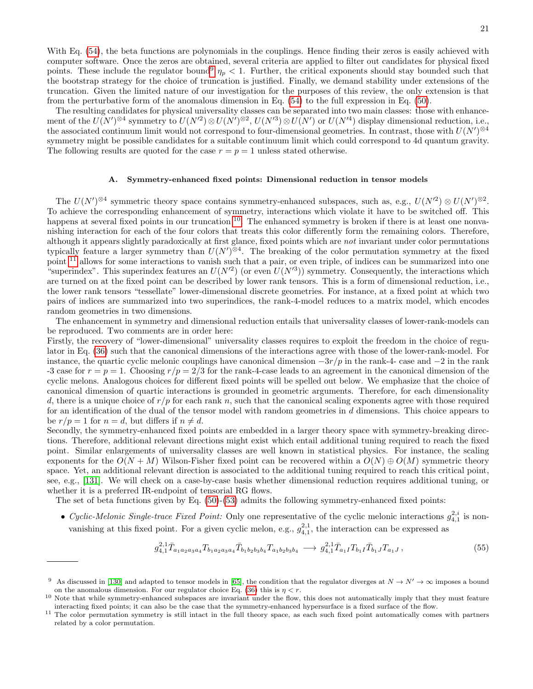With Eq. [\(54\)](#page-19-4), the beta functions are polynomials in the couplings. Hence finding their zeros is easily achieved with computer software. Once the zeros are obtained, several criteria are applied to filter out candidates for physical fixed points. These include the regulator bound<sup>[9](#page-20-0)</sup>  $\eta_p < 1$ . Further, the critical exponents should stay bounded such that the bootstrap strategy for the choice of truncation is justified. Finally, we demand stability under extensions of the truncation. Given the limited nature of our investigation for the purposes of this review, the only extension is that from the perturbative form of the anomalous dimension in Eq. [\(54\)](#page-19-4) to the full expression in Eq. [\(50\)](#page-19-2).

The resulting candidates for physical universality classes can be separated into two main classes: those with enhancement of the  $U(N')^{\otimes 4}$  symmetry to  $U(N'^2) \otimes U(N')^{\otimes 2}$ ,  $U(N'^3) \otimes U(N')$  or  $U(N'^4)$  display dimensional reduction, i.e., the associated continuum limit would not correspond to four-dimensional geometries. In contrast, those with  $U(N')^{\otimes 4}$ symmetry might be possible candidates for a suitable continuum limit which could correspond to 4d quantum gravity. The following results are quoted for the case  $r = p = 1$  unless stated otherwise.

### A. Symmetry-enhanced fixed points: Dimensional reduction in tensor models

The  $U(N')^{\otimes 4}$  symmetric theory space contains symmetry-enhanced subspaces, such as, e.g.,  $U(N'^2) \otimes U(N')^{\otimes 2}$ . To achieve the corresponding enhancement of symmetry, interactions which violate it have to be switched off. This happens at several fixed points in our truncation <sup>[10](#page-20-1)</sup>. The enhanced symmetry is broken if there is at least one nonvanishing interaction for each of the four colors that treats this color differently form the remaining colors. Therefore, although it appears slightly paradoxically at first glance, fixed points which are not invariant under color permutations typically feature a larger symmetry than  $U(N')^{\otimes 4}$ . The breaking of the color permutation symmetry at the fixed point <sup>[11](#page-20-2)</sup> allows for some interactions to vanish such that a pair, or even triple, of indices can be summarized into one "superindex". This superindex features an  $U(N^2)$  (or even  $U(N^3)$ ) symmetry. Consequently, the interactions which are turned on at the fixed point can be described by lower rank tensors. This is a form of dimensional reduction, i.e., the lower rank tensors "tessellate" lower-dimensional discrete geometries. For instance, at a fixed point at which two pairs of indices are summarized into two superindices, the rank-4-model reduces to a matrix model, which encodes random geometries in two dimensions.

The enhancement in symmetry and dimensional reduction entails that universality classes of lower-rank-models can be reproduced. Two comments are in order here:

Firstly, the recovery of "lower-dimensional" universality classes requires to exploit the freedom in the choice of regulator in Eq. [\(36\)](#page-17-2) such that the canonical dimensions of the interactions agree with those of the lower-rank-model. For instance, the quartic cyclic melonic couplings have canonical dimension  $-3r/p$  in the rank-4- case and  $-2$  in the rank -3 case for  $r = p = 1$ . Choosing  $r/p = 2/3$  for the rank-4-case leads to an agreement in the canonical dimension of the cyclic melons. Analogous choices for different fixed points will be spelled out below. We emphasize that the choice of canonical dimension of quartic interactions is grounded in geometric arguments. Therefore, for each dimensionality d, there is a unique choice of  $r/p$  for each rank n, such that the canonical scaling exponents agree with those required for an identification of the dual of the tensor model with random geometries in d dimensions. This choice appears to be  $r/p = 1$  for  $n = d$ , but differs if  $n \neq d$ .

Secondly, the symmetry-enhanced fixed points are embedded in a larger theory space with symmetry-breaking directions. Therefore, additional relevant directions might exist which entail additional tuning required to reach the fixed point. Similar enlargements of universality classes are well known in statistical physics. For instance, the scaling exponents for the  $O(N + M)$  Wilson-Fisher fixed point can be recovered within a  $O(N) \oplus O(M)$  symmetric theory space. Yet, an additional relevant direction is associated to the additional tuning required to reach this critical point, see, e.g., [\[131\]](#page-27-27). We will check on a case-by-case basis whether dimensional reduction requires additional tuning, or whether it is a preferred IR-endpoint of tensorial RG flows.

The set of beta functions given by Eq. [\(50\)](#page-19-2)-[\(53\)](#page-19-3) admits the following symmetry-enhanced fixed points:

• Cyclic-Melonic Single-trace Fixed Point: Only one representative of the cyclic melonic interactions  $g_{4,1}^{2,i}$  is nonvanishing at this fixed point. For a given cyclic melon, e.g.,  $g_{4,1}^{2,1}$ , the interaction can be expressed as

$$
g_{4,1}^{2,1} \bar{T}_{a_1 a_2 a_3 a_4} T_{b_1 a_2 a_3 a_4} \bar{T}_{b_1 b_2 b_3 b_4} T_{a_1 b_2 b_3 b_4} \longrightarrow g_{4,1}^{2,1} \bar{T}_{a_1 I} T_{b_1 I} \bar{T}_{b_1 J} T_{a_1 J} ,\tag{55}
$$

<span id="page-20-0"></span><sup>&</sup>lt;sup>9</sup> As discussed in [\[130\]](#page-27-28) and adapted to tensor models in [\[65\]](#page-26-18), the condition that the regulator diverges at  $N \to N' \to \infty$  imposes a bound on the anomalous dimension. For our regulator choice Eq. [\(36\)](#page-17-2) this is  $\eta < r$ .

<span id="page-20-1"></span> $10$  Note that while symmetry-enhanced subspaces are invariant under the flow, this does not automatically imply that they must feature interacting fixed points; it can also be the case that the symmetry-enhanced hypersurface is a fixed surface of the flow.

<span id="page-20-2"></span><sup>&</sup>lt;sup>11</sup> The color permutation symmetry is still intact in the full theory space, as each such fixed point automatically comes with partners related by a color permutation.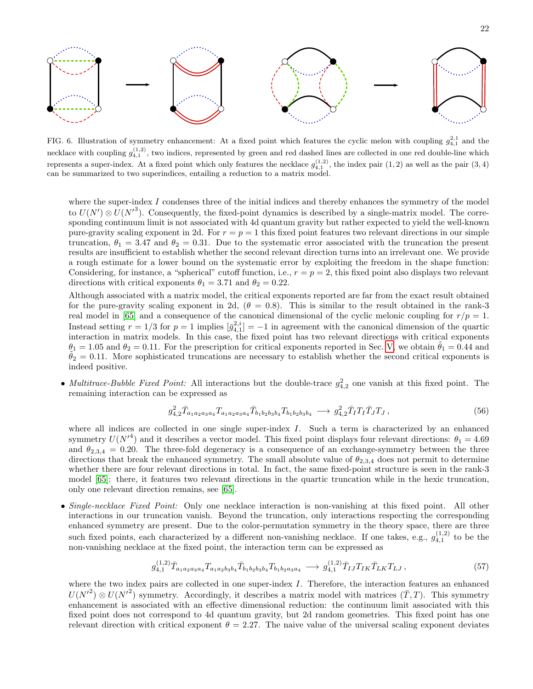

<span id="page-21-0"></span>FIG. 6. Illustration of symmetry enhancement: At a fixed point which features the cyclic melon with coupling  $g_{4,1}^{2,1}$  and the necklace with coupling  $g_{4,1}^{(1,2)}$ , two indices, represented by green and red dashed lines are collected in one red double-line which represents a super-index. At a fixed point which only features the necklace  $g_{4,1}^{(1,2)}$ , the index pair  $(1,2)$  as well as the pair  $(3,4)$ can be summarized to two superindices, entailing a reduction to a matrix model.

where the super-index I condenses three of the initial indices and thereby enhances the symmetry of the model to  $U(N') \otimes U(N'^3)$ . Consequently, the fixed-point dynamics is described by a single-matrix model. The corresponding continuum limit is not associated with 4d quantum gravity but rather expected to yield the well-known pure-gravity scaling exponent in 2d. For  $r = p = 1$  this fixed point features two relevant directions in our simple truncation,  $\theta_1 = 3.47$  and  $\theta_2 = 0.31$ . Due to the systematic error associated with the truncation the present results are insufficient to establish whether the second relevant direction turns into an irrelevant one. We provide a rough estimate for a lower bound on the systematic error by exploiting the freedom in the shape function: Considering, for instance, a "spherical" cutoff function, i.e.,  $r = p = 2$ , this fixed point also displays two relevant directions with critical exponents  $\theta_1 = 3.71$  and  $\theta_2 = 0.22$ .

Although associated with a matrix model, the critical exponents reported are far from the exact result obtained for the pure-gravity scaling exponent in 2d,  $(\theta = 0.8)$ . This is similar to the result obtained in the rank-3 real model in [\[65\]](#page-26-18) and a consequence of the canonical dimensional of the cyclic melonic coupling for  $r/p = 1$ . Instead setting  $r = 1/3$  for  $p = 1$  implies  $\overline{g}_{4,1}^{2,i} = -1$  in agreement with the canonical dimension of the quartic interaction in matrix models. In this case, the fixed point has two relevant directions with critical exponents  $\theta_1 = 1.05$  and  $\theta_2 = 0.11$ . For the prescription for critical exponents reported in Sec. [V,](#page-11-0) we obtain  $\theta_1 = 0.44$  and  $\theta_2 = 0.11$ . More sophisticated truncations are necessary to establish whether the second critical exponents is indeed positive.

• Multitrace-Bubble Fixed Point: All interactions but the double-trace  $g_{4,2}^2$  one vanish at this fixed point. The remaining interaction can be expressed as

$$
g_{4,2}^2 \bar{T}_{a_1 a_2 a_3 a_4} T_{a_1 a_2 a_3 a_4} \bar{T}_{b_1 b_2 b_3 b_4} T_{b_1 b_2 b_3 b_4} \longrightarrow g_{4,2}^2 \bar{T}_I T_I \bar{T}_J T_J, \qquad (56)
$$

where all indices are collected in one single super-index  $I$ . Such a term is characterized by an enhanced symmetry  $U(N^{\prime 4})$  and it describes a vector model. This fixed point displays four relevant directions:  $\theta_1 = 4.69$ and  $\theta_{2,3,4} = 0.20$ . The three-fold degeneracy is a consequence of an exchange-symmetry between the three directions that break the enhanced symmetry. The small absolute value of  $\theta_{2,3,4}$  does not permit to determine whether there are four relevant directions in total. In fact, the same fixed-point structure is seen in the rank-3 model [\[65\]](#page-26-18): there, it features two relevant directions in the quartic truncation while in the hexic truncation, only one relevant direction remains, see [\[65\]](#page-26-18).

• Single-necklace Fixed Point: Only one necklace interaction is non-vanishing at this fixed point. All other interactions in our truncation vanish. Beyond the truncation, only interactions respecting the corresponding enhanced symmetry are present. Due to the color-permutation symmetry in the theory space, there are three such fixed points, each characterized by a different non-vanishing necklace. If one takes, e.g.,  $g_{4,1}^{(1,2)}$  to be the non-vanishing necklace at the fixed point, the interaction term can be expressed as

$$
g_{4,1}^{(1,2)}\bar{T}_{a_1a_2a_3a_4}T_{a_1a_2b_3b_4}\bar{T}_{b_1b_2b_3b_4}T_{b_1b_2a_3a_4} \longrightarrow g_{4,1}^{(1,2)}\bar{T}_{IJ}T_{IK}\bar{T}_{LK}T_{LJ},\tag{57}
$$

where the two index pairs are collected in one super-index I. Therefore, the interaction features an enhanced  $U(N^2) \otimes U(N^2)$  symmetry. Accordingly, it describes a matrix model with matrices  $(\bar{T},T)$ . This symmetry enhancement is associated with an effective dimensional reduction: the continuum limit associated with this fixed point does not correspond to 4d quantum gravity, but 2d random geometries. This fixed point has one relevant direction with critical exponent  $\theta = 2.27$ . The naive value of the universal scaling exponent deviates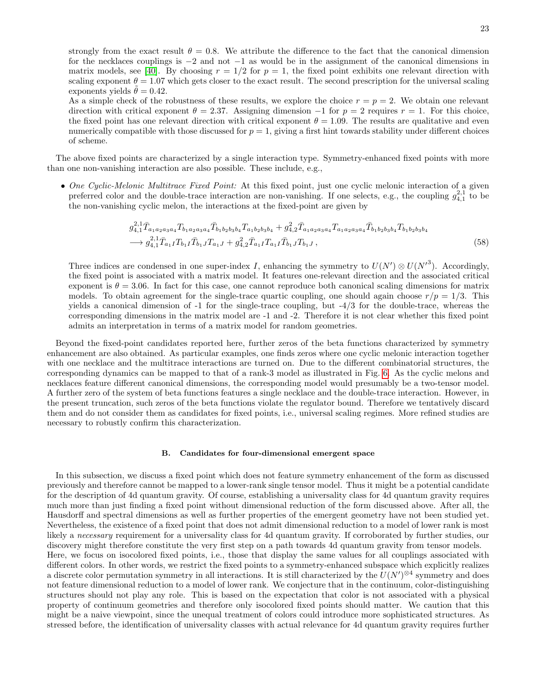strongly from the exact result  $\theta = 0.8$ . We attribute the difference to the fact that the canonical dimension for the necklaces couplings is −2 and not −1 as would be in the assignment of the canonical dimensions in matrix models, see [\[40\]](#page-26-15). By choosing  $r = 1/2$  for  $p = 1$ , the fixed point exhibits one relevant direction with scaling exponent  $\theta = 1.07$  which gets closer to the exact result. The second prescription for the universal scaling exponents yields  $\theta = 0.42$ .

As a simple check of the robustness of these results, we explore the choice  $r = p = 2$ . We obtain one relevant direction with critical exponent  $\theta = 2.37$ . Assigning dimension  $-1$  for  $p = 2$  requires  $r = 1$ . For this choice, the fixed point has one relevant direction with critical exponent  $\theta = 1.09$ . The results are qualitative and even numerically compatible with those discussed for  $p = 1$ , giving a first hint towards stability under different choices of scheme.

The above fixed points are characterized by a single interaction type. Symmetry-enhanced fixed points with more than one non-vanishing interaction are also possible. These include, e.g.,

• One Cyclic-Melonic Multitrace Fixed Point: At this fixed point, just one cyclic melonic interaction of a given preferred color and the double-trace interaction are non-vanishing. If one selects, e.g., the coupling  $g_{4,1}^{2,1}$  to be the non-vanishing cyclic melon, the interactions at the fixed-point are given by

$$
g_{4,1}^{2,1} \bar{T}_{a_1 a_2 a_3 a_4} T_{b_1 a_2 a_3 a_4} \bar{T}_{b_1 b_2 b_3 b_4} T_{a_1 b_2 b_3 b_4} + g_{4,2}^2 \bar{T}_{a_1 a_2 a_3 a_4} T_{a_1 a_2 a_3 a_4} \bar{T}_{b_1 b_2 b_3 b_4} T_{b_1 b_2 b_3 b_4}
$$
  
\n
$$
\longrightarrow g_{4,1}^{2,1} \bar{T}_{a_1 I} T_{b_1 I} \bar{T}_{b_1 J} T_{a_1 J} + g_{4,2}^2 \bar{T}_{a_1 I} T_{a_1 I} \bar{T}_{b_1 J} T_{b_1 J},
$$
\n
$$
(58)
$$

Three indices are condensed in one super-index I, enhancing the symmetry to  $U(N') \otimes U(N'^3)$ . Accordingly, the fixed point is associated with a matrix model. It features one-relevant direction and the associated critical exponent is  $\theta = 3.06$ . In fact for this case, one cannot reproduce both canonical scaling dimensions for matrix models. To obtain agreement for the single-trace quartic coupling, one should again choose  $r/p = 1/3$ . This yields a canonical dimension of -1 for the single-trace coupling, but -4/3 for the double-trace, whereas the corresponding dimensions in the matrix model are -1 and -2. Therefore it is not clear whether this fixed point admits an interpretation in terms of a matrix model for random geometries.

Beyond the fixed-point candidates reported here, further zeros of the beta functions characterized by symmetry enhancement are also obtained. As particular examples, one finds zeros where one cyclic melonic interaction together with one necklace and the multitrace interactions are turned on. Due to the different combinatorial structures, the corresponding dynamics can be mapped to that of a rank-3 model as illustrated in Fig. [6.](#page-21-0) As the cyclic melons and necklaces feature different canonical dimensions, the corresponding model would presumably be a two-tensor model. A further zero of the system of beta functions features a single necklace and the double-trace interaction. However, in the present truncation, such zeros of the beta functions violate the regulator bound. Therefore we tentatively discard them and do not consider them as candidates for fixed points, i.e., universal scaling regimes. More refined studies are necessary to robustly confirm this characterization.

#### B. Candidates for four-dimensional emergent space

In this subsection, we discuss a fixed point which does not feature symmetry enhancement of the form as discussed previously and therefore cannot be mapped to a lower-rank single tensor model. Thus it might be a potential candidate for the description of 4d quantum gravity. Of course, establishing a universality class for 4d quantum gravity requires much more than just finding a fixed point without dimensional reduction of the form discussed above. After all, the Hausdorff and spectral dimensions as well as further properties of the emergent geometry have not been studied yet. Nevertheless, the existence of a fixed point that does not admit dimensional reduction to a model of lower rank is most likely a *necessary* requirement for a universality class for 4d quantum gravity. If corroborated by further studies, our discovery might therefore constitute the very first step on a path towards 4d quantum gravity from tensor models. Here, we focus on isocolored fixed points, i.e., those that display the same values for all couplings associated with different colors. In other words, we restrict the fixed points to a symmetry-enhanced subspace which explicitly realizes a discrete color permutation symmetry in all interactions. It is still characterized by the  $U(N')^{\otimes 4}$  symmetry and does not feature dimensional reduction to a model of lower rank. We conjecture that in the continuum, color-distinguishing structures should not play any role. This is based on the expectation that color is not associated with a physical property of continuum geometries and therefore only isocolored fixed points should matter. We caution that this might be a naive viewpoint, since the unequal treatment of colors could introduce more sophisticated structures. As stressed before, the identification of universality classes with actual relevance for 4d quantum gravity requires further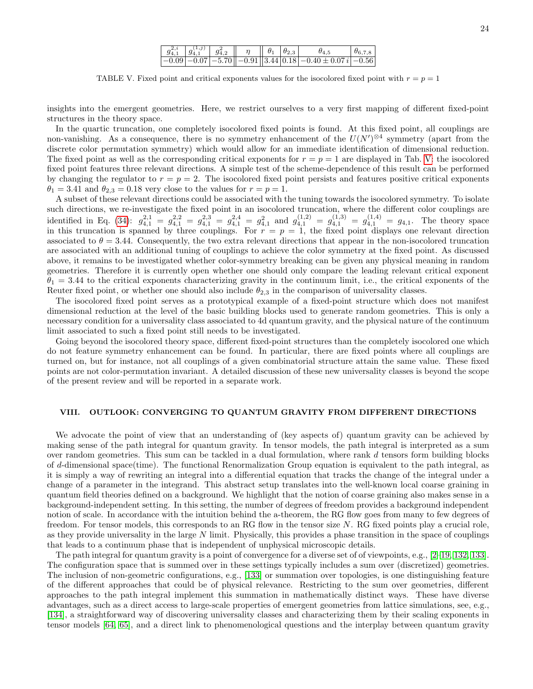<span id="page-23-1"></span>

|  | $\begin{array}{ c c c c c c c c } \hline g^{2,i}_{4,1} & g^{(1,j)}_{4,1} & g^{2}_{4,2} & \eta & \phi_1 & \theta_2 \ \hline \end{array}$ |  |                                                                                                                                | $\theta_{6.7.8}$ |
|--|-----------------------------------------------------------------------------------------------------------------------------------------|--|--------------------------------------------------------------------------------------------------------------------------------|------------------|
|  |                                                                                                                                         |  | $\left[-0.09\left[-0.07\left -5.70\right \right]-0.91\right]\left[3.44\right]\left[0.18\left -0.40\pm0.07i\right -0.56\right]$ |                  |

TABLE V. Fixed point and critical exponents values for the isocolored fixed point with  $r = p = 1$ 

insights into the emergent geometries. Here, we restrict ourselves to a very first mapping of different fixed-point structures in the theory space.

In the quartic truncation, one completely isocolored fixed points is found. At this fixed point, all couplings are non-vanishing. As a consequence, there is no symmetry enhancement of the  $U(N')^{\otimes 4}$  symmetry (apart from the discrete color permutation symmetry) which would allow for an immediate identification of dimensional reduction. The fixed point as well as the corresponding critical exponents for  $r = p = 1$  are displayed in Tab. [V:](#page-23-1) the isocolored fixed point features three relevant directions. A simple test of the scheme-dependence of this result can be performed by changing the regulator to  $r = p = 2$ . The isocolored fixed point persists and features positive critical exponents  $\theta_1 = 3.41$  and  $\theta_{2,3} = 0.18$  very close to the values for  $r = p = 1$ .

A subset of these relevant directions could be associated with the tuning towards the isocolored symmetry. To isolate such directions, we re-investigate the fixed point in an isocolored truncation, where the different color couplings are identified in Eq. [\(34\)](#page-16-2):  $g_{4,1}^{2,1} = g_{4,1}^{2,2} = g_{4,1}^{2,3} = g_{4,1}^{2,4} = g_{4,1}^{2}$  and  $g_{4,1}^{(1,2)} = g_{4,1}^{(1,3)} = g_{4,1}^{(1,4)} = g_{4,1}$ . The theory space in this truncation is spanned by three couplings. For  $r = p = 1$ , the fixed point displays one relevant direction associated to  $\theta = 3.44$ . Consequently, the two extra relevant directions that appear in the non-isocolored truncation are associated with an additional tuning of couplings to achieve the color symmetry at the fixed point. As discussed above, it remains to be investigated whether color-symmetry breaking can be given any physical meaning in random geometries. Therefore it is currently open whether one should only compare the leading relevant critical exponent  $\theta_1 = 3.44$  to the critical exponents characterizing gravity in the continuum limit, i.e., the critical exponents of the Reuter fixed point, or whether one should also include  $\theta_{2,3}$  in the comparison of universality classes.

The isocolored fixed point serves as a prototypical example of a fixed-point structure which does not manifest dimensional reduction at the level of the basic building blocks used to generate random geometries. This is only a necessary condition for a universality class associated to 4d quantum gravity, and the physical nature of the continuum limit associated to such a fixed point still needs to be investigated.

Going beyond the isocolored theory space, different fixed-point structures than the completely isocolored one which do not feature symmetry enhancement can be found. In particular, there are fixed points where all couplings are turned on, but for instance, not all couplings of a given combinatorial structure attain the same value. These fixed points are not color-permutation invariant. A detailed discussion of these new universality classes is beyond the scope of the present review and will be reported in a separate work.

### <span id="page-23-0"></span>VIII. OUTLOOK: CONVERGING TO QUANTUM GRAVITY FROM DIFFERENT DIRECTIONS

We advocate the point of view that an understanding of (key aspects of) quantum gravity can be achieved by making sense of the path integral for quantum gravity. In tensor models, the path integral is interpreted as a sum over random geometries. This sum can be tackled in a dual formulation, where rank d tensors form building blocks of d-dimensional space(time). The functional Renormalization Group equation is equivalent to the path integral, as it is simply a way of rewriting an integral into a differential equation that tracks the change of the integral under a change of a parameter in the integrand. This abstract setup translates into the well-known local coarse graining in quantum field theories defined on a background. We highlight that the notion of coarse graining also makes sense in a background-independent setting. In this setting, the number of degrees of freedom provides a background independent notion of scale. In accordance with the intuition behind the a-theorem, the RG flow goes from many to few degrees of freedom. For tensor models, this corresponds to an RG flow in the tensor size N. RG fixed points play a crucial role, as they provide universality in the large  $N$  limit. Physically, this provides a phase transition in the space of couplings that leads to a continuum phase that is independent of unphysical microscopic details.

The path integral for quantum gravity is a point of convergence for a diverse set of of viewpoints, e.g., [\[2–](#page-25-14)[19,](#page-25-3) [132,](#page-27-29) [133\]](#page-27-30). The configuration space that is summed over in these settings typically includes a sum over (discretized) geometries. The inclusion of non-geometric configurations, e.g., [\[133\]](#page-27-30) or summation over topologies, is one distinguishing feature of the different approaches that could be of physical relevance. Restricting to the sum over geometries, different approaches to the path integral implement this summation in mathematically distinct ways. These have diverse advantages, such as a direct access to large-scale properties of emergent geometries from lattice simulations, see, e.g., [\[134\]](#page-27-31), a straightforward way of discovering universality classes and characterizing them by their scaling exponents in tensor models [\[64,](#page-26-17) [65\]](#page-26-18), and a direct link to phenomenological questions and the interplay between quantum gravity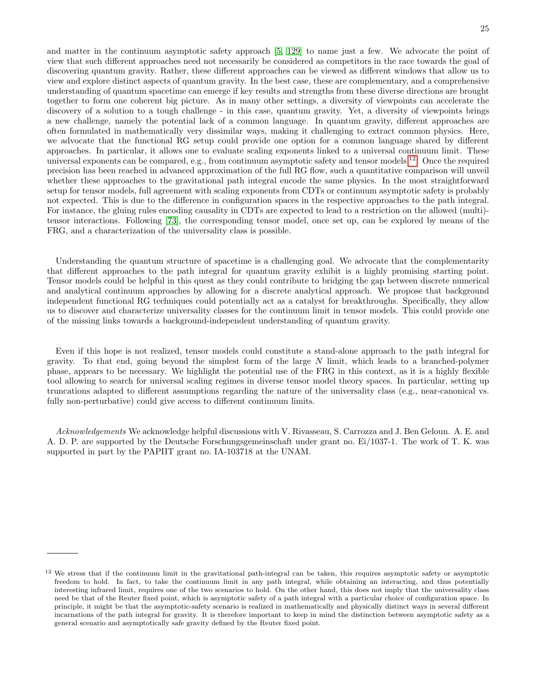and matter in the continuum asymptotic safety approach [\[5,](#page-25-9) [129\]](#page-27-25) to name just a few. We advocate the point of view that such different approaches need not necessarily be considered as competitors in the race towards the goal of discovering quantum gravity. Rather, these different approaches can be viewed as different windows that allow us to view and explore distinct aspects of quantum gravity. In the best case, these are complementary, and a comprehensive understanding of quantum spacetime can emerge if key results and strengths from these diverse directions are brought together to form one coherent big picture. As in many other settings, a diversity of viewpoints can accelerate the discovery of a solution to a tough challenge - in this case, quantum gravity. Yet, a diversity of viewpoints brings a new challenge, namely the potential lack of a common language. In quantum gravity, different approaches are often formulated in mathematically very dissimilar ways, making it challenging to extract common physics. Here, we advocate that the functional RG setup could provide one option for a common language shared by different approaches. In particular, it allows one to evaluate scaling exponents linked to a universal continuum limit. These universal exponents can be compared, e.g., from continuum asymptotic safety and tensor models  $^{12}$  $^{12}$  $^{12}$ . Once the required precision has been reached in advanced approximation of the full RG flow, such a quantitative comparison will unveil whether these approaches to the gravitational path integral encode the same physics. In the most straightforward setup for tensor models, full agreement with scaling exponents from CDTs or continuum asymptotic safety is probably not expected. This is due to the difference in configuration spaces in the respective approaches to the path integral. For instance, the gluing rules encoding causality in CDTs are expected to lead to a restriction on the allowed (multi) tensor interactions. Following [\[73\]](#page-26-30), the corresponding tensor model, once set up, can be explored by means of the FRG, and a characterization of the universality class is possible.

Understanding the quantum structure of spacetime is a challenging goal. We advocate that the complementarity that different approaches to the path integral for quantum gravity exhibit is a highly promising starting point. Tensor models could be helpful in this quest as they could contribute to bridging the gap between discrete numerical and analytical continuum approaches by allowing for a discrete analytical approach. We propose that background independent functional RG techniques could potentially act as a catalyst for breakthroughs. Specifically, they allow us to discover and characterize universality classes for the continuum limit in tensor models. This could provide one of the missing links towards a background-independent understanding of quantum gravity.

Even if this hope is not realized, tensor models could constitute a stand-alone approach to the path integral for gravity. To that end, going beyond the simplest form of the large N limit, which leads to a branched-polymer phase, appears to be necessary. We highlight the potential use of the FRG in this context, as it is a highly flexible tool allowing to search for universal scaling regimes in diverse tensor model theory spaces. In particular, setting up truncations adapted to different assumptions regarding the nature of the universality class (e.g., near-canonical vs. fully non-perturbative) could give access to different continuum limits.

Acknowledgements We acknowledge helpful discussions with V. Rivasseau, S. Carrozza and J. Ben Geloun. A. E. and A. D. P. are supported by the Deutsche Forschungsgemeinschaft under grant no. Ei/1037-1. The work of T. K. was supported in part by the PAPIIT grant no. IA-103718 at the UNAM.

<span id="page-24-0"></span> $12$  We stress that if the continuum limit in the gravitational path-integral can be taken, this requires asymptotic safety or asymptotic freedom to hold. In fact, to take the continuum limit in any path integral, while obtaining an interacting, and thus potentially interesting infrared limit, requires one of the two scenarios to hold. On the other hand, this does not imply that the universality class need be that of the Reuter fixed point, which is asymptotic safety of a path integral with a particular choice of configuration space. In principle, it might be that the asymptotic-safety scenario is realized in mathematically and physically distinct ways in several different incarnations of the path integral for gravity. It is therefore important to keep in mind the distinction between asymptotic safety as a general scenario and asymptotically safe gravity defined by the Reuter fixed point.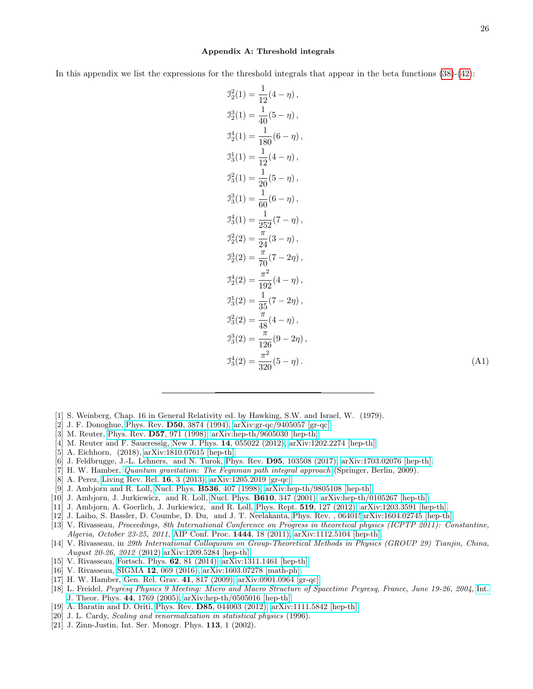#### <span id="page-25-13"></span>Appendix A: Threshold integrals

In this appendix we list the expressions for the threshold integrals that appear in the beta functions  $(38)-(42)$  $(38)-(42)$ :

$$
J_2^2(1) = \frac{1}{12}(4 - \eta),
$$
  
\n
$$
J_2^3(1) = \frac{1}{40}(5 - \eta),
$$
  
\n
$$
J_2^4(1) = \frac{1}{180}(6 - \eta),
$$
  
\n
$$
J_3^1(1) = \frac{1}{12}(4 - \eta),
$$
  
\n
$$
J_3^2(1) = \frac{1}{20}(5 - \eta),
$$
  
\n
$$
J_3^3(1) = \frac{1}{60}(6 - \eta),
$$
  
\n
$$
J_3^4(1) = \frac{1}{252}(7 - \eta),
$$
  
\n
$$
J_2^2(2) = \frac{\pi}{24}(3 - \eta),
$$
  
\n
$$
J_2^3(2) = \frac{\pi}{70}(7 - 2\eta),
$$
  
\n
$$
J_3^4(2) = \frac{1}{192}(4 - \eta),
$$
  
\n
$$
J_3^2(3) = \frac{1}{35}(7 - 2\eta),
$$
  
\n
$$
J_3^2(3) = \frac{\pi}{48}(4 - \eta),
$$
  
\n
$$
J_3^3(2) = \frac{\pi}{126}(9 - 2\eta),
$$
  
\n
$$
J_3^4(3) = \frac{\pi^2}{320}(5 - \eta).
$$
  
\n(A1)

- <span id="page-25-0"></span>[1] S. Weinberg, Chap. 16 in General Relativity ed. by Hawking, S.W. and Israel, W. (1979).
- <span id="page-25-14"></span>[2] J. F. Donoghue, Phys. Rev. D50[, 3874 \(1994\),](http://dx.doi.org/10.1103/PhysRevD.50.3874) [arXiv:gr-qc/9405057 \[gr-qc\].](http://arxiv.org/abs/gr-qc/9405057)
- <span id="page-25-10"></span>[3] M. Reuter, Phys. Rev. D57[, 971 \(1998\),](http://dx.doi.org/10.1103/PhysRevD.57.971) [arXiv:hep-th/9605030 \[hep-th\].](http://arxiv.org/abs/hep-th/9605030)
- <span id="page-25-8"></span>[4] M. Reuter and F. Saueressig, New J. Phys. **14**[, 055022 \(2012\),](http://dx.doi.org/10.1088/1367-2630/14/5/055022) [arXiv:1202.2274 \[hep-th\].](http://arxiv.org/abs/1202.2274)
- <span id="page-25-9"></span>[5] A. Eichhorn, (2018), [arXiv:1810.07615 \[hep-th\].](http://arxiv.org/abs/1810.07615)
- <span id="page-25-1"></span>[6] J. Feldbrugge, J.-L. Lehners, and N. Turok, Phys. Rev. D95[, 103508 \(2017\),](http://dx.doi.org/10.1103/PhysRevD.95.103508) [arXiv:1703.02076 \[hep-th\].](http://arxiv.org/abs/1703.02076)
- <span id="page-25-2"></span>[7] H. W. Hamber, [Quantum gravitation: The Feynman path integral approach](http://dx.doi.org/10.1007/978-3-540-85293-3) (Springer, Berlin, 2009).
- [8] A. Perez, [Living Rev. Rel.](http://dx.doi.org/10.12942/lrr-2013-3) 16, 3 (2013), [arXiv:1205.2019 \[gr-qc\].](http://arxiv.org/abs/1205.2019)
- <span id="page-25-6"></span>[9] J. Ambjorn and R. Loll, Nucl. Phys. B536[, 407 \(1998\),](http://dx.doi.org/10.1016/S0550-3213(98)00692-0) [arXiv:hep-th/9805108 \[hep-th\].](http://arxiv.org/abs/hep-th/9805108)
- [10] J. Ambjorn, J. Jurkiewicz, and R. Loll, Nucl. Phys. B610[, 347 \(2001\),](http://dx.doi.org/10.1016/S0550-3213(01)00297-8) [arXiv:hep-th/0105267 \[hep-th\].](http://arxiv.org/abs/hep-th/0105267)
- <span id="page-25-7"></span>[11] J. Ambjorn, A. Goerlich, J. Jurkiewicz, and R. Loll, Phys. Rept. 519[, 127 \(2012\),](http://dx.doi.org/ 10.1016/j.physrep.2012.03.007) [arXiv:1203.3591 \[hep-th\].](http://arxiv.org/abs/1203.3591)
- <span id="page-25-12"></span>[12] J. Laiho, S. Bassler, D. Coumbe, D. Du, and J. T. Neelakanta, [Phys. Rev. , 064015](http://dx.doi.org/ 10.1103/PhysRevD.96.064015)[arXiv:1604.02745 \[hep-th\].](http://arxiv.org/abs/1604.02745)
- <span id="page-25-5"></span>[13] V. Rivasseau, Proceedings, 8th International Conference on Progress in theoretical physics (ICPTP 2011): Constantine, Algeria, October 23-25, 2011, [AIP Conf. Proc.](http://dx.doi.org/10.1063/1.4715396) 1444, 18 (2011), [arXiv:1112.5104 \[hep-th\].](http://arxiv.org/abs/1112.5104)
- [14] V. Rivasseau, in 29th International Colloquium on Group-Theoretical Methods in Physics (GROUP 29) Tianjin, China, August 20-26, 2012 (2012) [arXiv:1209.5284 \[hep-th\].](http://arxiv.org/abs/1209.5284)
- [15] V. Rivasseau, [Fortsch. Phys.](http://dx.doi.org/10.1002/prop.201300032) **62**, 81 (2014), [arXiv:1311.1461 \[hep-th\].](http://arxiv.org/abs/1311.1461)
- [16] V. Rivasseau, SIGMA 12[, 069 \(2016\),](http://dx.doi.org/10.3842/SIGMA.2016.069) [arXiv:1603.07278 \[math-ph\].](http://arxiv.org/abs/1603.07278)
- [17] H. W. Hamber, [Gen. Rel. Grav.](http://dx.doi.org/10.1007/s10714-009-0769-y) 41, 817 (2009), [arXiv:0901.0964 \[gr-qc\].](http://arxiv.org/abs/0901.0964)
- [18] L. Freidel, Peyresq Physics 9 Meeting: Micro and Macro Structure of Spacetime Peyresq, France, June 19-26, 2004, [Int.](http://dx.doi.org/10.1007/s10773-005-8894-1) [J. Theor. Phys.](http://dx.doi.org/10.1007/s10773-005-8894-1) 44, 1769 (2005), [arXiv:hep-th/0505016 \[hep-th\].](http://arxiv.org/abs/hep-th/0505016)
- <span id="page-25-3"></span>[19] A. Baratin and D. Oriti, Phys. Rev. D85[, 044003 \(2012\),](http://dx.doi.org/10.1103/PhysRevD.85.044003) [arXiv:1111.5842 \[hep-th\].](http://arxiv.org/abs/1111.5842)
- <span id="page-25-4"></span>[20] J. L. Cardy, *Scaling and renormalization in statistical physics* (1996).
- <span id="page-25-11"></span>[21] J. Zinn-Justin, Int. Ser. Monogr. Phys. **113**, 1 (2002).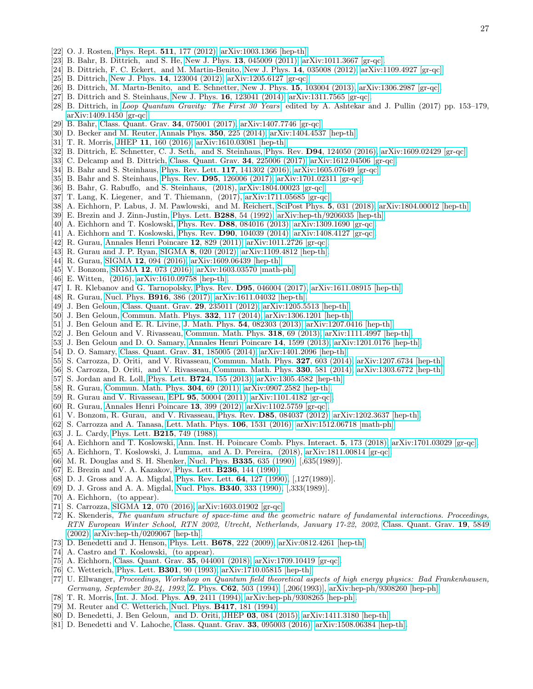- <span id="page-26-0"></span>[22] O. J. Rosten, Phys. Rept. 511[, 177 \(2012\),](http://dx.doi.org/10.1016/j.physrep.2011.12.003) [arXiv:1003.1366 \[hep-th\].](http://arxiv.org/abs/1003.1366)
- <span id="page-26-1"></span>[23] B. Bahr, B. Dittrich, and S. He, New J. Phys. 13[, 045009 \(2011\),](http://dx.doi.org/10.1088/1367-2630/13/4/045009) [arXiv:1011.3667 \[gr-qc\].](http://arxiv.org/abs/1011.3667)
- [24] B. Dittrich, F. C. Eckert, and M. Martin-Benito, New J. Phys. 14[, 035008 \(2012\),](http://dx.doi.org/10.1088/1367-2630/14/3/035008) [arXiv:1109.4927 \[gr-qc\].](http://arxiv.org/abs/1109.4927)
- [25] B. Dittrich, New J. Phys. 14[, 123004 \(2012\),](http://dx.doi.org/10.1088/1367-2630/14/12/123004) [arXiv:1205.6127 \[gr-qc\].](http://arxiv.org/abs/1205.6127)
- [26] B. Dittrich, M. Martn-Benito, and E. Schnetter, New J. Phys. 15[, 103004 \(2013\),](http://dx.doi.org/10.1088/1367-2630/15/10/103004) [arXiv:1306.2987 \[gr-qc\].](http://arxiv.org/abs/1306.2987)
- [27] B. Dittrich and S. Steinhaus, New J. Phys. **16**[, 123041 \(2014\),](http://dx.doi.org/10.1088/1367-2630/16/12/123041) [arXiv:1311.7565 \[gr-qc\].](http://arxiv.org/abs/1311.7565)
- [28] B. Dittrich, in [Loop Quantum Gravity: The First 30 Years](http://dx.doi.org/10.1142/9789813220003_0006), edited by A. Ashtekar and J. Pullin (2017) pp. 153–179, [arXiv:1409.1450 \[gr-qc\].](http://arxiv.org/abs/1409.1450)
- <span id="page-26-22"></span>[29] B. Bahr, [Class. Quant. Grav.](http://dx.doi.org/10.1088/1361-6382/aa5e13) 34, 075001 (2017), [arXiv:1407.7746 \[gr-qc\].](http://arxiv.org/abs/1407.7746)
- <span id="page-26-29"></span>[30] D. Becker and M. Reuter, [Annals Phys.](http://dx.doi.org/10.1016/j.aop.2014.07.023) 350, 225 (2014), [arXiv:1404.4537 \[hep-th\].](http://arxiv.org/abs/1404.4537)
- [31] T. R. Morris, JHEP 11[, 160 \(2016\),](http://dx.doi.org/10.1007/JHEP11(2016)160) [arXiv:1610.03081 \[hep-th\].](http://arxiv.org/abs/1610.03081)
- <span id="page-26-23"></span>[32] B. Dittrich, E. Schnetter, C. J. Seth, and S. Steinhaus, Phys. Rev.  $D94$ ,  $124050$  (2016), [arXiv:1609.02429 \[gr-qc\].](http://arxiv.org/abs/1609.02429)
- [33] C. Delcamp and B. Dittrich, [Class. Quant. Grav.](http://dx.doi.org/10.1088/1361-6382/aa8f24) 34, 225006 (2017), [arXiv:1612.04506 \[gr-qc\].](http://arxiv.org/abs/1612.04506)
- [34] B. Bahr and S. Steinhaus, [Phys. Rev. Lett.](http://dx.doi.org/10.1103/PhysRevLett.117.141302) 117, 141302 (2016), [arXiv:1605.07649 \[gr-qc\].](http://arxiv.org/abs/1605.07649)
- [35] B. Bahr and S. Steinhaus, Phys. Rev. D95[, 126006 \(2017\),](http://dx.doi.org/10.1103/PhysRevD.95.126006) [arXiv:1701.02311 \[gr-qc\].](http://arxiv.org/abs/1701.02311)
- <span id="page-26-24"></span>[36] B. Bahr, G. Rabuffo, and S. Steinhaus, (2018), [arXiv:1804.00023 \[gr-qc\].](http://arxiv.org/abs/1804.00023)
- <span id="page-26-25"></span>[37] T. Lang, K. Liegener, and T. Thiemann, (2017), [arXiv:1711.05685 \[gr-qc\].](http://arxiv.org/abs/1711.05685)
- <span id="page-26-2"></span>[38] A. Eichhorn, P. Labus, J. M. Pawlowski, and M. Reichert, [SciPost Phys.](http://dx.doi.org/10.21468/SciPostPhys.5.4.031) 5, 031 (2018), [arXiv:1804.00012 \[hep-th\].](http://arxiv.org/abs/1804.00012)
- <span id="page-26-3"></span>[39] E. Brezin and J. Zinn-Justin, [Phys. Lett.](http://dx.doi.org/10.1016/0370-2693(92)91953-7) B288, 54 (1992), [arXiv:hep-th/9206035 \[hep-th\].](http://arxiv.org/abs/hep-th/9206035)
- <span id="page-26-15"></span>[40] A. Eichhorn and T. Koslowski, Phys. Rev. D88[, 084016 \(2013\),](http://dx.doi.org/10.1103/PhysRevD.88.084016) [arXiv:1309.1690 \[gr-qc\].](http://arxiv.org/abs/1309.1690)
- <span id="page-26-16"></span>[41] A. Eichhorn and T. Koslowski, Phys. Rev. D90[, 104039 \(2014\),](http://dx.doi.org/10.1103/PhysRevD.90.104039) [arXiv:1408.4127 \[gr-qc\].](http://arxiv.org/abs/1408.4127)
- <span id="page-26-4"></span>[42] R. Gurau, [Annales Henri Poincare](http://dx.doi.org/10.1007/s00023-011-0101-8) 12, 829 (2011), [arXiv:1011.2726 \[gr-qc\].](http://arxiv.org/abs/1011.2726)
- <span id="page-26-5"></span>[43] R. Gurau and J. P. Ryan, SIGMA 8[, 020 \(2012\),](http://dx.doi.org/10.3842/SIGMA.2012.020) [arXiv:1109.4812 \[hep-th\].](http://arxiv.org/abs/1109.4812)
- [44] R. Gurau, SIGMA 12[, 094 \(2016\),](http://dx.doi.org/10.3842/SIGMA.2016.094) [arXiv:1609.06439 \[hep-th\].](http://arxiv.org/abs/1609.06439)
- <span id="page-26-6"></span>[45] V. Bonzom, SIGMA 12[, 073 \(2016\),](http://dx.doi.org/10.3842/SIGMA.2016.073) [arXiv:1603.03570 \[math-ph\].](http://arxiv.org/abs/1603.03570)
- <span id="page-26-7"></span>[46] E. Witten, (2016), [arXiv:1610.09758 \[hep-th\].](http://arxiv.org/abs/1610.09758)
- <span id="page-26-38"></span>[47] I. R. Klebanov and G. Tarnopolsky, Phys. Rev. D95[, 046004 \(2017\),](http://dx.doi.org/10.1103/PhysRevD.95.046004) [arXiv:1611.08915 \[hep-th\].](http://arxiv.org/abs/1611.08915)
- <span id="page-26-8"></span>[48] R. Gurau, Nucl. Phys. **B916**[, 386 \(2017\),](http://dx.doi.org/10.1016/j.nuclphysb.2017.01.015) [arXiv:1611.04032 \[hep-th\].](http://arxiv.org/abs/1611.04032)
- <span id="page-26-9"></span>[49] J. Ben Geloun, [Class. Quant. Grav.](http://dx.doi.org/10.1088/0264-9381/29/23/235011) 29, 235011 (2012), [arXiv:1205.5513 \[hep-th\].](http://arxiv.org/abs/1205.5513)
- [50] J. Ben Geloun, [Commun. Math. Phys.](http://dx.doi.org/10.1007/s00220-014-2142-6) 332, 117 (2014), [arXiv:1306.1201 \[hep-th\].](http://arxiv.org/abs/1306.1201)
- [51] J. Ben Geloun and E. R. Livine, J. Math. Phys. 54[, 082303 \(2013\),](http://dx.doi.org/10.1063/1.4818797) [arXiv:1207.0416 \[hep-th\].](http://arxiv.org/abs/1207.0416)
- <span id="page-26-26"></span>[52] J. Ben Geloun and V. Rivasseau, [Commun. Math. Phys.](http://dx.doi.org/10.1007/s00220-012-1549-1) 318, 69 (2013), [arXiv:1111.4997 \[hep-th\].](http://arxiv.org/abs/1111.4997)
- [53] J. Ben Geloun and D. O. Samary, [Annales Henri Poincare](http://dx.doi.org/10.1007/s00023-012-0225-5) 14, 1599 (2013), [arXiv:1201.0176 \[hep-th\].](http://arxiv.org/abs/1201.0176)
- [54] D. O. Samary, [Class. Quant. Grav.](http://dx.doi.org/10.1088/0264-9381/31/18/185005) 31, 185005 (2014), [arXiv:1401.2096 \[hep-th\].](http://arxiv.org/abs/1401.2096)
- [55] S. Carrozza, D. Oriti, and V. Rivasseau, [Commun. Math. Phys.](http://dx.doi.org/10.1007/s00220-014-1954-8) 327, 603 (2014), [arXiv:1207.6734 \[hep-th\].](http://arxiv.org/abs/1207.6734)
- <span id="page-26-10"></span>[56] S. Carrozza, D. Oriti, and V. Rivasseau, [Commun. Math. Phys.](http://dx.doi.org/10.1007/s00220-014-1928-x) 330, 581 (2014), [arXiv:1303.6772 \[hep-th\].](http://arxiv.org/abs/1303.6772)
- <span id="page-26-11"></span>[57] S. Jordan and R. Loll, Phys. Lett. B724[, 155 \(2013\),](http://dx.doi.org/10.1016/j.physletb.2013.06.007) [arXiv:1305.4582 \[hep-th\].](http://arxiv.org/abs/1305.4582)
- <span id="page-26-12"></span>[58] R. Gurau, [Commun. Math. Phys.](http://dx.doi.org/10.1007/s00220-011-1226-9) 304, 69 (2011), [arXiv:0907.2582 \[hep-th\].](http://arxiv.org/abs/0907.2582)
- [59] R. Gurau and V. Rivasseau, EPL 95[, 50004 \(2011\),](http://dx.doi.org/10.1209/0295-5075/95/50004) [arXiv:1101.4182 \[gr-qc\].](http://arxiv.org/abs/1101.4182)
- [60] R. Gurau, [Annales Henri Poincare](http://dx.doi.org/10.1007/s00023-011-0118-z) 13, 399 (2012), [arXiv:1102.5759 \[gr-qc\].](http://arxiv.org/abs/1102.5759)
- [61] V. Bonzom, R. Gurau, and V. Rivasseau, Phys. Rev. D85[, 084037 \(2012\),](http://dx.doi.org/10.1103/PhysRevD.85.084037) [arXiv:1202.3637 \[hep-th\].](http://arxiv.org/abs/1202.3637)
- <span id="page-26-13"></span>[62] S. Carrozza and A. Tanasa, [Lett. Math. Phys.](http://dx.doi.org/10.1007/s11005-016-0879-x) 106, 1531 (2016), [arXiv:1512.06718 \[math-ph\].](http://arxiv.org/abs/1512.06718)
- <span id="page-26-14"></span>[63] J. L. Cardy, Phys. Lett. **B215**[, 749 \(1988\).](http://dx.doi.org/10.1016/0370-2693(88)90054-8)
- <span id="page-26-17"></span>[64] A. Eichhorn and T. Koslowski, [Ann. Inst. H. Poincare Comb. Phys. Interact.](http://dx.doi.org/10.4171/AIHPD/52) 5, 173 (2018), [arXiv:1701.03029 \[gr-qc\].](http://arxiv.org/abs/1701.03029)
- <span id="page-26-18"></span>[65] A. Eichhorn, T. Koslowski, J. Lumma, and A. D. Pereira, (2018), [arXiv:1811.00814 \[gr-qc\].](http://arxiv.org/abs/1811.00814)
- <span id="page-26-19"></span>[66] M. R. Douglas and S. H. Shenker, Nucl. Phys. B335[, 635 \(1990\),](http://dx.doi.org/10.1016/0550-3213(90)90522-F) [,635(1989)].
- [67] E. Brezin and V. A. Kazakov, Phys. Lett. **B236**[, 144 \(1990\).](http://dx.doi.org/10.1016/0370-2693(90)90818-Q)
- [68] D. J. Gross and A. A. Migdal, [Phys. Rev. Lett.](http://dx.doi.org/10.1103/PhysRevLett.64.127) **64**, 127 (1990), [,127(1989)].
- <span id="page-26-20"></span>[69] D. J. Gross and A. A. Migdal, Nucl. Phys. B340[, 333 \(1990\),](http://dx.doi.org/10.1016/0550-3213(90)90450-R) [,333(1989)].
- <span id="page-26-21"></span>[70] A. Eichhorn, (to appear).
- <span id="page-26-27"></span>[71] S. Carrozza, SIGMA 12[, 070 \(2016\),](http://dx.doi.org/10.3842/SIGMA.2016.070) [arXiv:1603.01902 \[gr-qc\].](http://arxiv.org/abs/1603.01902)
- <span id="page-26-28"></span>[72] K. Skenderis, The quantum structure of space-time and the geometric nature of fundamental interactions. Proceedings, RTN European Winter School, RTN 2002, Utrecht, Netherlands, January 17-22, 2002, [Class. Quant. Grav.](http://dx.doi.org/ 10.1088/0264-9381/19/22/306) 19, 5849 [\(2002\),](http://dx.doi.org/ 10.1088/0264-9381/19/22/306) [arXiv:hep-th/0209067 \[hep-th\].](http://arxiv.org/abs/hep-th/0209067)
- <span id="page-26-30"></span>[73] D. Benedetti and J. Henson, Phys. Lett. **B678**[, 222 \(2009\),](http://dx.doi.org/10.1016/j.physletb.2009.06.027) [arXiv:0812.4261 \[hep-th\].](http://arxiv.org/abs/0812.4261)
- <span id="page-26-31"></span>[74] A. Castro and T. Koslowski, (to appear).
- <span id="page-26-32"></span>[75] A. Eichhorn, [Class. Quant. Grav.](http://dx.doi.org/10.1088/1361-6382/aaa0a3) 35, 044001 (2018), [arXiv:1709.10419 \[gr-qc\].](http://arxiv.org/abs/1709.10419)
- <span id="page-26-33"></span>[76] C. Wetterich, [Phys. Lett.](http://dx.doi.org/10.1016/0370-2693(93)90726-X) **B301**, 90 (1993), [arXiv:1710.05815 \[hep-th\].](http://arxiv.org/abs/1710.05815)
- <span id="page-26-34"></span>[77] U. Ellwanger, Proceedings, Workshop on Quantum field theoretical aspects of high energy physics: Bad Frankenhausen, Germany, September 20-24, 1993, Z. Phys. C62[, 503 \(1994\),](http://dx.doi.org/10.1007/BF01555911) [,206(1993)], [arXiv:hep-ph/9308260 \[hep-ph\].](http://arxiv.org/abs/hep-ph/9308260)
- <span id="page-26-35"></span>[78] T. R. Morris, [Int. J. Mod. Phys.](http://dx.doi.org/10.1142/S0217751X94000972) A9, 2411 (1994), [arXiv:hep-ph/9308265 \[hep-ph\].](http://arxiv.org/abs/hep-ph/9308265)
- <span id="page-26-36"></span>[79] M. Reuter and C. Wetterich, Nucl. Phys. B417[, 181 \(1994\).](http://dx.doi.org/10.1016/0550-3213(94)90543-6)
- <span id="page-26-37"></span>[80] D. Benedetti, J. Ben Geloun, and D. Oriti, JHEP 03[, 084 \(2015\),](http://dx.doi.org/10.1007/JHEP03(2015)084) [arXiv:1411.3180 \[hep-th\].](http://arxiv.org/abs/1411.3180)
- [81] D. Benedetti and V. Lahoche, [Class. Quant. Grav.](http://dx.doi.org/10.1088/0264-9381/33/9/095003) 33, 095003 (2016), [arXiv:1508.06384 \[hep-th\].](http://arxiv.org/abs/1508.06384)